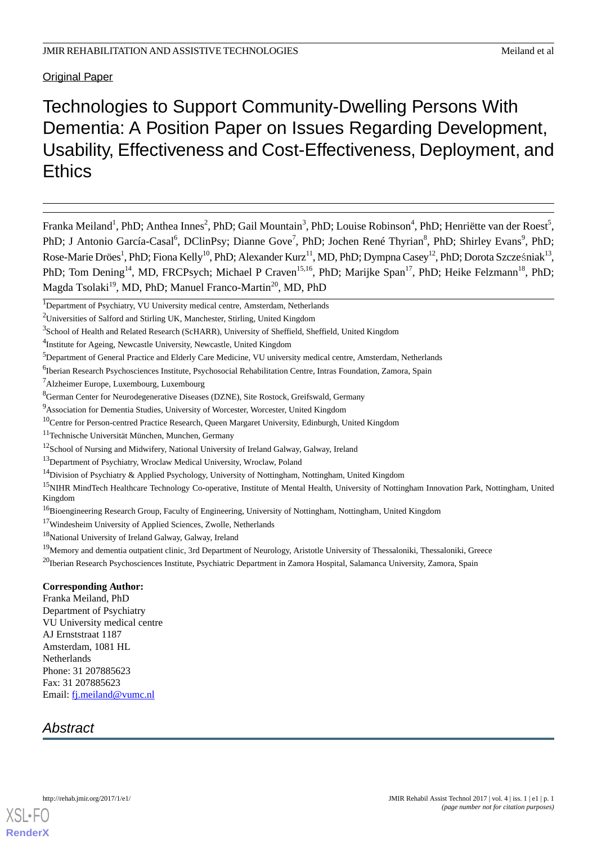Original Paper

# Technologies to Support Community-Dwelling Persons With Dementia: A Position Paper on Issues Regarding Development, Usability, Effectiveness and Cost-Effectiveness, Deployment, and **Ethics**

Franka Meiland<sup>1</sup>, PhD; Anthea Innes<sup>2</sup>, PhD; Gail Mountain<sup>3</sup>, PhD; Louise Robinson<sup>4</sup>, PhD; Henriëtte van der Roest<sup>5</sup>, PhD; J Antonio García-Casal<sup>6</sup>, DClinPsy; Dianne Gove<sup>7</sup>, PhD; Jochen René Thyrian<sup>8</sup>, PhD; Shirley Evans<sup>9</sup>, PhD; Rose-Marie Dröes<sup>1</sup>, PhD; Fiona Kelly<sup>10</sup>, PhD; Alexander Kurz<sup>11</sup>, MD, PhD; Dympna Casey<sup>12</sup>, PhD; Dorota Szcześniak<sup>13</sup>, PhD; Tom Dening<sup>14</sup>, MD, FRCPsych; Michael P Craven<sup>15,16</sup>, PhD; Marijke Span<sup>17</sup>, PhD; Heike Felzmann<sup>18</sup>, PhD; Magda Tsolaki<sup>19</sup>, MD, PhD; Manuel Franco-Martin<sup>20</sup>, MD, PhD

<sup>9</sup>Association for Dementia Studies, University of Worcester, Worcester, United Kingdom

<sup>10</sup>Centre for Person-centred Practice Research, Queen Margaret University, Edinburgh, United Kingdom

<sup>16</sup>Bioengineering Research Group, Faculty of Engineering, University of Nottingham, Nottingham, United Kingdom

<sup>17</sup>Windesheim University of Applied Sciences, Zwolle, Netherlands

<sup>18</sup>National University of Ireland Galway, Galway, Ireland

## **Corresponding Author:**

Franka Meiland, PhD Department of Psychiatry VU University medical centre AJ Ernststraat 1187 Amsterdam, 1081 HL **Netherlands** Phone: 31 207885623 Fax: 31 207885623 Email: [fj.meiland@vumc.nl](mailto:fj.meiland@vumc.nl)

*Abstract*

**[RenderX](http://www.renderx.com/)**

<sup>&</sup>lt;sup>1</sup>Department of Psychiatry, VU University medical centre, Amsterdam, Netherlands

<sup>&</sup>lt;sup>2</sup>Universities of Salford and Stirling UK, Manchester, Stirling, United Kingdom

<sup>&</sup>lt;sup>3</sup>School of Health and Related Research (ScHARR), University of Sheffield, Sheffield, United Kingdom

<sup>&</sup>lt;sup>4</sup>Institute for Ageing, Newcastle University, Newcastle, United Kingdom

<sup>5</sup>Department of General Practice and Elderly Care Medicine, VU university medical centre, Amsterdam, Netherlands

<sup>&</sup>lt;sup>6</sup>Iberian Research Psychosciences Institute, Psychosocial Rehabilitation Centre, Intras Foundation, Zamora, Spain

<sup>7</sup>Alzheimer Europe, Luxembourg, Luxembourg

<sup>8</sup>German Center for Neurodegenerative Diseases (DZNE), Site Rostock, Greifswald, Germany

<sup>&</sup>lt;sup>11</sup>Technische Universität München, Munchen, Germany

<sup>&</sup>lt;sup>12</sup>School of Nursing and Midwifery, National University of Ireland Galway, Galway, Ireland

<sup>&</sup>lt;sup>13</sup>Department of Psychiatry, Wroclaw Medical University, Wroclaw, Poland

<sup>&</sup>lt;sup>14</sup>Division of Psychiatry & Applied Psychology, University of Nottingham, Nottingham, United Kingdom

<sup>&</sup>lt;sup>15</sup>NIHR MindTech Healthcare Technology Co-operative, Institute of Mental Health, University of Nottingham Innovation Park, Nottingham, United Kingdom

<sup>&</sup>lt;sup>19</sup>Memory and dementia outpatient clinic, 3rd Department of Neurology, Aristotle University of Thessaloniki, Thessaloniki, Greece

<sup>&</sup>lt;sup>20</sup>Iberian Research Psychosciences Institute, Psychiatric Department in Zamora Hospital, Salamanca University, Zamora, Spain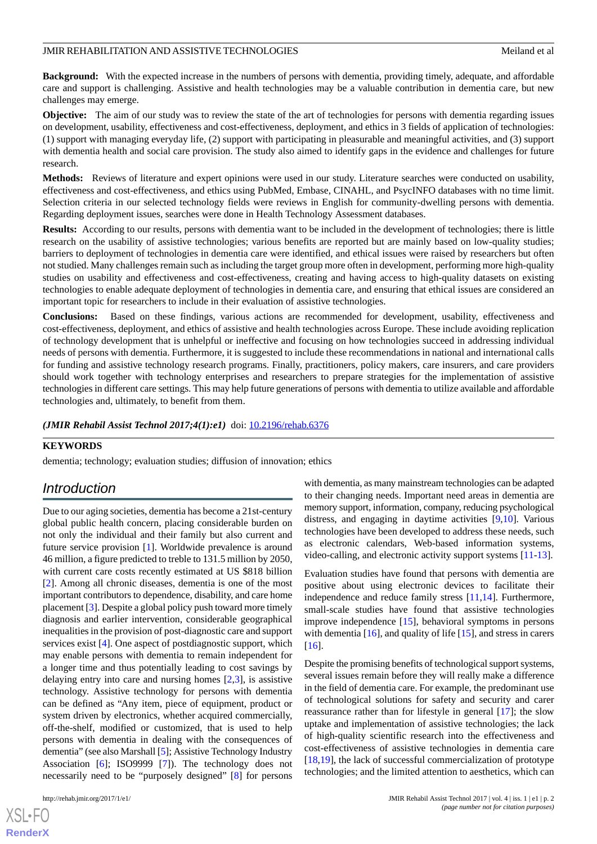**Background:** With the expected increase in the numbers of persons with dementia, providing timely, adequate, and affordable care and support is challenging. Assistive and health technologies may be a valuable contribution in dementia care, but new challenges may emerge.

**Objective:** The aim of our study was to review the state of the art of technologies for persons with dementia regarding issues on development, usability, effectiveness and cost-effectiveness, deployment, and ethics in 3 fields of application of technologies: (1) support with managing everyday life, (2) support with participating in pleasurable and meaningful activities, and (3) support with dementia health and social care provision. The study also aimed to identify gaps in the evidence and challenges for future research.

**Methods:** Reviews of literature and expert opinions were used in our study. Literature searches were conducted on usability, effectiveness and cost-effectiveness, and ethics using PubMed, Embase, CINAHL, and PsycINFO databases with no time limit. Selection criteria in our selected technology fields were reviews in English for community-dwelling persons with dementia. Regarding deployment issues, searches were done in Health Technology Assessment databases.

**Results:** According to our results, persons with dementia want to be included in the development of technologies; there is little research on the usability of assistive technologies; various benefits are reported but are mainly based on low-quality studies; barriers to deployment of technologies in dementia care were identified, and ethical issues were raised by researchers but often not studied. Many challenges remain such as including the target group more often in development, performing more high-quality studies on usability and effectiveness and cost-effectiveness, creating and having access to high-quality datasets on existing technologies to enable adequate deployment of technologies in dementia care, and ensuring that ethical issues are considered an important topic for researchers to include in their evaluation of assistive technologies.

**Conclusions:** Based on these findings, various actions are recommended for development, usability, effectiveness and cost-effectiveness, deployment, and ethics of assistive and health technologies across Europe. These include avoiding replication of technology development that is unhelpful or ineffective and focusing on how technologies succeed in addressing individual needs of persons with dementia. Furthermore, it is suggested to include these recommendations in national and international calls for funding and assistive technology research programs. Finally, practitioners, policy makers, care insurers, and care providers should work together with technology enterprises and researchers to prepare strategies for the implementation of assistive technologies in different care settings. This may help future generations of persons with dementia to utilize available and affordable technologies and, ultimately, to benefit from them.

(JMIR Rehabil Assist Technol 2017;4(1):e1) doi: [10.2196/rehab.6376](http://dx.doi.org/10.2196/rehab.6376)

#### **KEYWORDS**

dementia; technology; evaluation studies; diffusion of innovation; ethics

# *Introduction*

Due to our aging societies, dementia has become a 21st-century global public health concern, placing considerable burden on not only the individual and their family but also current and future service provision [[1\]](#page-12-0). Worldwide prevalence is around 46 million, a figure predicted to treble to 131.5 million by 2050, with current care costs recently estimated at US \$818 billion [[2\]](#page-12-1). Among all chronic diseases, dementia is one of the most important contributors to dependence, disability, and care home placement [[3\]](#page-12-2). Despite a global policy push toward more timely diagnosis and earlier intervention, considerable geographical inequalities in the provision of post-diagnostic care and support services exist [[4\]](#page-12-3). One aspect of postdiagnostic support, which may enable persons with dementia to remain independent for a longer time and thus potentially leading to cost savings by delaying entry into care and nursing homes  $[2,3]$  $[2,3]$  $[2,3]$  $[2,3]$ , is assistive technology. Assistive technology for persons with dementia can be defined as "Any item, piece of equipment, product or system driven by electronics, whether acquired commercially, off-the-shelf, modified or customized, that is used to help persons with dementia in dealing with the consequences of dementia" (see also Marshall [\[5](#page-12-4)]; Assistive Technology Industry Association [\[6](#page-12-5)]; ISO9999 [[7\]](#page-12-6)). The technology does not necessarily need to be "purposely designed" [\[8](#page-12-7)] for persons

with dementia, as many mainstream technologies can be adapted to their changing needs. Important need areas in dementia are memory support, information, company, reducing psychological distress, and engaging in daytime activities [\[9](#page-12-8),[10\]](#page-12-9). Various technologies have been developed to address these needs, such as electronic calendars, Web-based information systems, video-calling, and electronic activity support systems [\[11](#page-12-10)-[13\]](#page-12-11).

Evaluation studies have found that persons with dementia are positive about using electronic devices to facilitate their independence and reduce family stress [\[11](#page-12-10),[14\]](#page-13-0). Furthermore, small-scale studies have found that assistive technologies improve independence [[15\]](#page-13-1), behavioral symptoms in persons with dementia  $[16]$  $[16]$ , and quality of life  $[15]$  $[15]$ , and stress in carers [[16\]](#page-13-2).

Despite the promising benefits of technological support systems, several issues remain before they will really make a difference in the field of dementia care. For example, the predominant use of technological solutions for safety and security and carer reassurance rather than for lifestyle in general [[17\]](#page-13-3); the slow uptake and implementation of assistive technologies; the lack of high-quality scientific research into the effectiveness and cost-effectiveness of assistive technologies in dementia care [[18,](#page-13-4)[19\]](#page-13-5), the lack of successful commercialization of prototype technologies; and the limited attention to aesthetics, which can

 $XSI - F($ **[RenderX](http://www.renderx.com/)**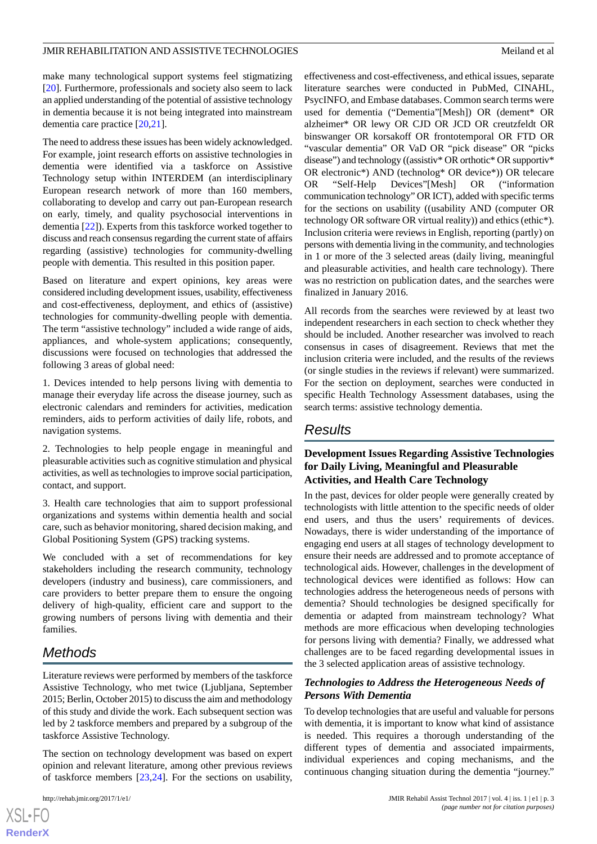make many technological support systems feel stigmatizing [[20\]](#page-13-6). Furthermore, professionals and society also seem to lack an applied understanding of the potential of assistive technology in dementia because it is not being integrated into mainstream dementia care practice [\[20](#page-13-6),[21\]](#page-13-7).

The need to address these issues has been widely acknowledged. For example, joint research efforts on assistive technologies in dementia were identified via a taskforce on Assistive Technology setup within INTERDEM (an interdisciplinary European research network of more than 160 members, collaborating to develop and carry out pan-European research on early, timely, and quality psychosocial interventions in dementia [[22\]](#page-13-8)). Experts from this taskforce worked together to discuss and reach consensus regarding the current state of affairs regarding (assistive) technologies for community-dwelling people with dementia. This resulted in this position paper.

Based on literature and expert opinions, key areas were considered including development issues, usability, effectiveness and cost-effectiveness, deployment, and ethics of (assistive) technologies for community-dwelling people with dementia. The term "assistive technology" included a wide range of aids, appliances, and whole-system applications; consequently, discussions were focused on technologies that addressed the following 3 areas of global need:

1. Devices intended to help persons living with dementia to manage their everyday life across the disease journey, such as electronic calendars and reminders for activities, medication reminders, aids to perform activities of daily life, robots, and navigation systems.

2. Technologies to help people engage in meaningful and pleasurable activities such as cognitive stimulation and physical activities, as well as technologies to improve social participation, contact, and support.

3. Health care technologies that aim to support professional organizations and systems within dementia health and social care, such as behavior monitoring, shared decision making, and Global Positioning System (GPS) tracking systems.

We concluded with a set of recommendations for key stakeholders including the research community, technology developers (industry and business), care commissioners, and care providers to better prepare them to ensure the ongoing delivery of high-quality, efficient care and support to the growing numbers of persons living with dementia and their families.

# *Methods*

Literature reviews were performed by members of the taskforce Assistive Technology, who met twice (Ljubljana, September 2015; Berlin, October 2015) to discuss the aim and methodology of this study and divide the work. Each subsequent section was led by 2 taskforce members and prepared by a subgroup of the taskforce Assistive Technology.

The section on technology development was based on expert opinion and relevant literature, among other previous reviews of taskforce members [\[23](#page-13-9),[24\]](#page-13-10). For the sections on usability,

effectiveness and cost-effectiveness, and ethical issues, separate literature searches were conducted in PubMed, CINAHL, PsycINFO, and Embase databases. Common search terms were used for dementia ("Dementia"[Mesh]) OR (dement\* OR alzheimer\* OR lewy OR CJD OR JCD OR creutzfeldt OR binswanger OR korsakoff OR frontotemporal OR FTD OR "vascular dementia" OR VaD OR "pick disease" OR "picks disease") and technology ((assistiv\* OR orthotic\* OR supportiv\* OR electronic\*) AND (technolog\* OR device\*)) OR telecare OR "Self-Help Devices"[Mesh] OR ("information communication technology" OR ICT), added with specific terms for the sections on usability ((usability AND (computer OR technology OR software OR virtual reality)) and ethics (ethic\*). Inclusion criteria were reviews in English, reporting (partly) on persons with dementia living in the community, and technologies in 1 or more of the 3 selected areas (daily living, meaningful and pleasurable activities, and health care technology). There was no restriction on publication dates, and the searches were finalized in January 2016.

All records from the searches were reviewed by at least two independent researchers in each section to check whether they should be included. Another researcher was involved to reach consensus in cases of disagreement. Reviews that met the inclusion criteria were included, and the results of the reviews (or single studies in the reviews if relevant) were summarized. For the section on deployment, searches were conducted in specific Health Technology Assessment databases, using the search terms: assistive technology dementia.

# *Results*

# **Development Issues Regarding Assistive Technologies for Daily Living, Meaningful and Pleasurable Activities, and Health Care Technology**

In the past, devices for older people were generally created by technologists with little attention to the specific needs of older end users, and thus the users' requirements of devices. Nowadays, there is wider understanding of the importance of engaging end users at all stages of technology development to ensure their needs are addressed and to promote acceptance of technological aids. However, challenges in the development of technological devices were identified as follows: How can technologies address the heterogeneous needs of persons with dementia? Should technologies be designed specifically for dementia or adapted from mainstream technology? What methods are more efficacious when developing technologies for persons living with dementia? Finally, we addressed what challenges are to be faced regarding developmental issues in the 3 selected application areas of assistive technology.

# *Technologies to Address the Heterogeneous Needs of Persons With Dementia*

To develop technologies that are useful and valuable for persons with dementia, it is important to know what kind of assistance is needed. This requires a thorough understanding of the different types of dementia and associated impairments, individual experiences and coping mechanisms, and the continuous changing situation during the dementia "journey."

```
XSL•FO
RenderX
```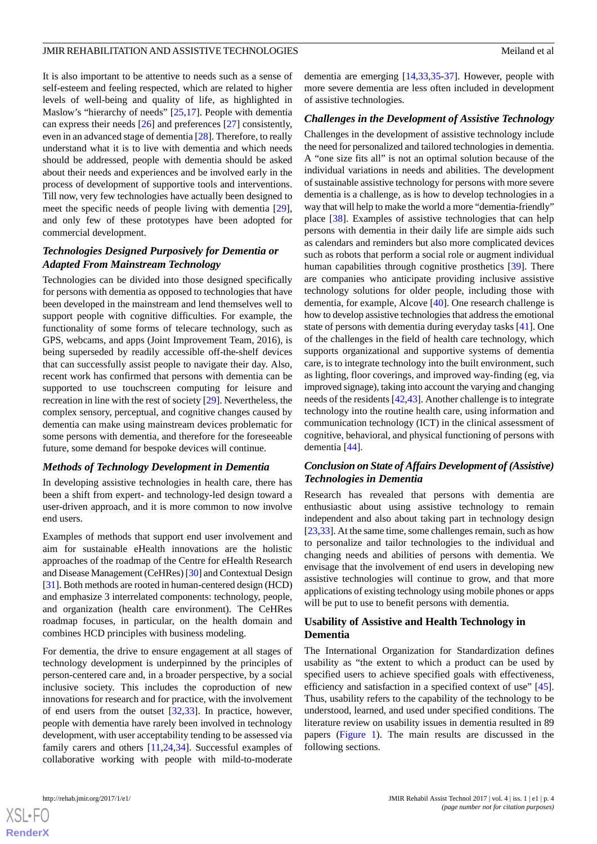It is also important to be attentive to needs such as a sense of self-esteem and feeling respected, which are related to higher levels of well-being and quality of life, as highlighted in Maslow's "hierarchy of needs" [\[25](#page-13-11),[17\]](#page-13-3). People with dementia can express their needs [\[26](#page-13-12)] and preferences [\[27](#page-13-13)] consistently, even in an advanced stage of dementia [[28\]](#page-13-14). Therefore, to really understand what it is to live with dementia and which needs should be addressed, people with dementia should be asked about their needs and experiences and be involved early in the process of development of supportive tools and interventions. Till now, very few technologies have actually been designed to meet the specific needs of people living with dementia [[29\]](#page-13-15), and only few of these prototypes have been adopted for commercial development.

# *Technologies Designed Purposively for Dementia or Adapted From Mainstream Technology*

Technologies can be divided into those designed specifically for persons with dementia as opposed to technologies that have been developed in the mainstream and lend themselves well to support people with cognitive difficulties. For example, the functionality of some forms of telecare technology, such as GPS, webcams, and apps (Joint Improvement Team, 2016), is being superseded by readily accessible off-the-shelf devices that can successfully assist people to navigate their day. Also, recent work has confirmed that persons with dementia can be supported to use touchscreen computing for leisure and recreation in line with the rest of society [[29\]](#page-13-15). Nevertheless, the complex sensory, perceptual, and cognitive changes caused by dementia can make using mainstream devices problematic for some persons with dementia, and therefore for the foreseeable future, some demand for bespoke devices will continue.

#### *Methods of Technology Development in Dementia*

In developing assistive technologies in health care, there has been a shift from expert- and technology-led design toward a user-driven approach, and it is more common to now involve end users.

Examples of methods that support end user involvement and aim for sustainable eHealth innovations are the holistic approaches of the roadmap of the Centre for eHealth Research and Disease Management (CeHRes) [\[30](#page-13-16)] and Contextual Design [[31\]](#page-13-17). Both methods are rooted in human-centered design (HCD) and emphasize 3 interrelated components: technology, people, and organization (health care environment). The CeHRes roadmap focuses, in particular, on the health domain and combines HCD principles with business modeling.

For dementia, the drive to ensure engagement at all stages of technology development is underpinned by the principles of person-centered care and, in a broader perspective, by a social inclusive society. This includes the coproduction of new innovations for research and for practice, with the involvement of end users from the outset [[32,](#page-13-18)[33](#page-13-19)]. In practice, however, people with dementia have rarely been involved in technology development, with user acceptability tending to be assessed via family carers and others [\[11](#page-12-10),[24](#page-13-10)[,34](#page-13-20)]. Successful examples of collaborative working with people with mild-to-moderate

dementia are emerging [[14,](#page-13-0)[33](#page-13-19),[35-](#page-13-21)[37](#page-13-22)]. However, people with more severe dementia are less often included in development of assistive technologies.

#### *Challenges in the Development of Assistive Technology*

Challenges in the development of assistive technology include the need for personalized and tailored technologies in dementia. A "one size fits all" is not an optimal solution because of the individual variations in needs and abilities. The development of sustainable assistive technology for persons with more severe dementia is a challenge, as is how to develop technologies in a way that will help to make the world a more "dementia-friendly" place [[38\]](#page-14-0). Examples of assistive technologies that can help persons with dementia in their daily life are simple aids such as calendars and reminders but also more complicated devices such as robots that perform a social role or augment individual human capabilities through cognitive prosthetics [[39\]](#page-14-1). There are companies who anticipate providing inclusive assistive technology solutions for older people, including those with dementia, for example, Alcove [\[40](#page-14-2)]. One research challenge is how to develop assistive technologies that address the emotional state of persons with dementia during everyday tasks [\[41](#page-14-3)]. One of the challenges in the field of health care technology, which supports organizational and supportive systems of dementia care, is to integrate technology into the built environment, such as lighting, floor coverings, and improved way-finding (eg, via improved signage), taking into account the varying and changing needs of the residents [[42](#page-14-4)[,43](#page-14-5)]. Another challenge is to integrate technology into the routine health care, using information and communication technology (ICT) in the clinical assessment of cognitive, behavioral, and physical functioning of persons with dementia [\[44](#page-14-6)].

# *Conclusion on State of Affairs Development of (Assistive) Technologies in Dementia*

Research has revealed that persons with dementia are enthusiastic about using assistive technology to remain independent and also about taking part in technology design [[23](#page-13-9)[,33](#page-13-19)]. At the same time, some challenges remain, such as how to personalize and tailor technologies to the individual and changing needs and abilities of persons with dementia. We envisage that the involvement of end users in developing new assistive technologies will continue to grow, and that more applications of existing technology using mobile phones or apps will be put to use to benefit persons with dementia.

# **Usability of Assistive and Health Technology in Dementia**

The International Organization for Standardization defines usability as "the extent to which a product can be used by specified users to achieve specified goals with effectiveness, efficiency and satisfaction in a specified context of use" [[45\]](#page-14-7). Thus, usability refers to the capability of the technology to be understood, learned, and used under specified conditions. The literature review on usability issues in dementia resulted in 89 papers ([Figure 1](#page-4-0)). The main results are discussed in the following sections.



 $XS$ -FO **[RenderX](http://www.renderx.com/)**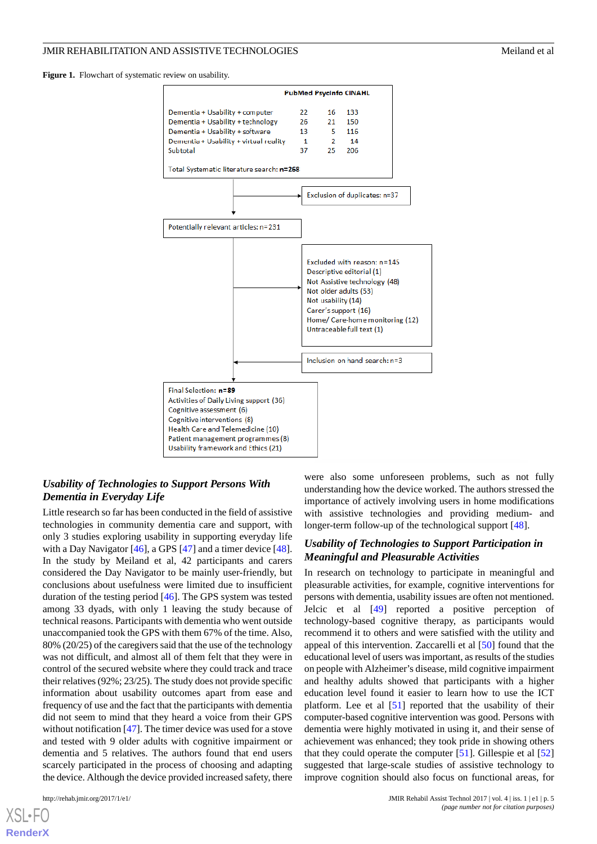<span id="page-4-0"></span>Figure 1. Flowchart of systematic review on usability.



# *Usability of Technologies to Support Persons With Dementia in Everyday Life*

Little research so far has been conducted in the field of assistive technologies in community dementia care and support, with only 3 studies exploring usability in supporting everyday life with a Day Navigator [\[46](#page-14-8)], a GPS [\[47](#page-14-9)] and a timer device [[48\]](#page-14-10). In the study by Meiland et al, 42 participants and carers considered the Day Navigator to be mainly user-friendly, but conclusions about usefulness were limited due to insufficient duration of the testing period [[46\]](#page-14-8). The GPS system was tested among 33 dyads, with only 1 leaving the study because of technical reasons. Participants with dementia who went outside unaccompanied took the GPS with them 67% of the time. Also, 80% (20/25) of the caregivers said that the use of the technology was not difficult, and almost all of them felt that they were in control of the secured website where they could track and trace their relatives (92%; 23/25). The study does not provide specific information about usability outcomes apart from ease and frequency of use and the fact that the participants with dementia did not seem to mind that they heard a voice from their GPS without notification [\[47](#page-14-9)]. The timer device was used for a stove and tested with 9 older adults with cognitive impairment or dementia and 5 relatives. The authors found that end users scarcely participated in the process of choosing and adapting the device. Although the device provided increased safety, there

[XSL](http://www.w3.org/Style/XSL)•FO **[RenderX](http://www.renderx.com/)**

were also some unforeseen problems, such as not fully understanding how the device worked. The authors stressed the importance of actively involving users in home modifications with assistive technologies and providing medium- and longer-term follow-up of the technological support [[48\]](#page-14-10).

# *Usability of Technologies to Support Participation in Meaningful and Pleasurable Activities*

In research on technology to participate in meaningful and pleasurable activities, for example, cognitive interventions for persons with dementia, usability issues are often not mentioned. Jelcic et al [[49\]](#page-14-11) reported a positive perception of technology-based cognitive therapy, as participants would recommend it to others and were satisfied with the utility and appeal of this intervention. Zaccarelli et al [\[50](#page-14-12)] found that the educational level of users was important, as results of the studies on people with Alzheimer's disease, mild cognitive impairment and healthy adults showed that participants with a higher education level found it easier to learn how to use the ICT platform. Lee et al [\[51](#page-14-13)] reported that the usability of their computer-based cognitive intervention was good. Persons with dementia were highly motivated in using it, and their sense of achievement was enhanced; they took pride in showing others that they could operate the computer  $[51]$  $[51]$ . Gillespie et al  $[52]$  $[52]$ suggested that large-scale studies of assistive technology to improve cognition should also focus on functional areas, for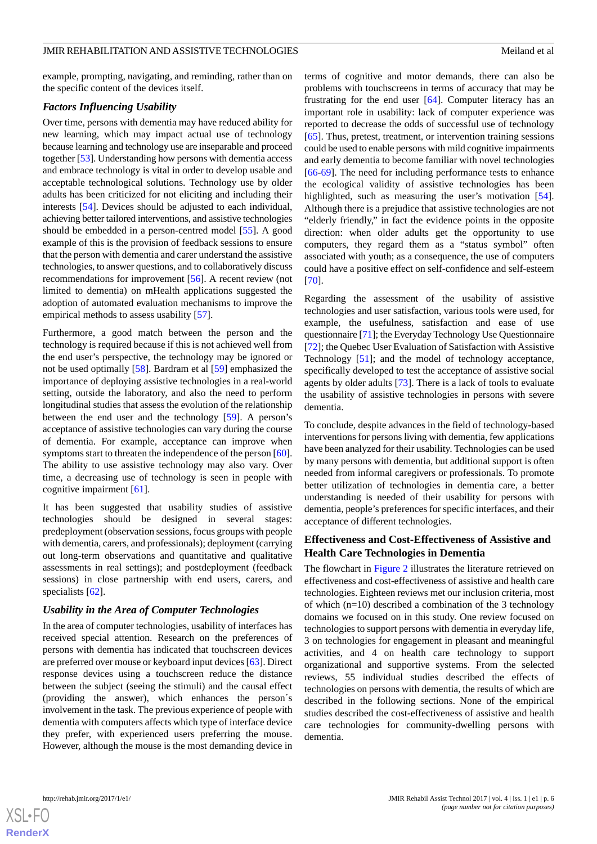example, prompting, navigating, and reminding, rather than on the specific content of the devices itself.

#### *Factors Influencing Usability*

Over time, persons with dementia may have reduced ability for new learning, which may impact actual use of technology because learning and technology use are inseparable and proceed together [\[53\]](#page-14-15). Understanding how persons with dementia access and embrace technology is vital in order to develop usable and acceptable technological solutions. Technology use by older adults has been criticized for not eliciting and including their interests [\[54](#page-14-16)]. Devices should be adjusted to each individual, achieving better tailored interventions, and assistive technologies should be embedded in a person-centred model [\[55](#page-14-17)]. A good example of this is the provision of feedback sessions to ensure that the person with dementia and carer understand the assistive technologies, to answer questions, and to collaboratively discuss recommendations for improvement [\[56](#page-14-18)]. A recent review (not limited to dementia) on mHealth applications suggested the adoption of automated evaluation mechanisms to improve the empirical methods to assess usability [[57\]](#page-14-19).

Furthermore, a good match between the person and the technology is required because if this is not achieved well from the end user's perspective, the technology may be ignored or not be used optimally [[58\]](#page-14-20). Bardram et al [[59\]](#page-14-21) emphasized the importance of deploying assistive technologies in a real-world setting, outside the laboratory, and also the need to perform longitudinal studies that assess the evolution of the relationship between the end user and the technology [[59\]](#page-14-21). A person's acceptance of assistive technologies can vary during the course of dementia. For example, acceptance can improve when symptoms start to threaten the independence of the person [[60\]](#page-15-0). The ability to use assistive technology may also vary. Over time, a decreasing use of technology is seen in people with cognitive impairment [[61\]](#page-15-1).

It has been suggested that usability studies of assistive technologies should be designed in several stages: predeployment (observation sessions, focus groups with people with dementia, carers, and professionals); deployment (carrying out long-term observations and quantitative and qualitative assessments in real settings); and postdeployment (feedback sessions) in close partnership with end users, carers, and specialists [[62\]](#page-15-2).

#### *Usability in the Area of Computer Technologies*

In the area of computer technologies, usability of interfaces has received special attention. Research on the preferences of persons with dementia has indicated that touchscreen devices are preferred over mouse or keyboard input devices [[63\]](#page-15-3). Direct response devices using a touchscreen reduce the distance between the subject (seeing the stimuli) and the causal effect (providing the answer), which enhances the person´s involvement in the task. The previous experience of people with dementia with computers affects which type of interface device they prefer, with experienced users preferring the mouse. However, although the mouse is the most demanding device in terms of cognitive and motor demands, there can also be problems with touchscreens in terms of accuracy that may be frustrating for the end user [\[64](#page-15-4)]. Computer literacy has an important role in usability: lack of computer experience was reported to decrease the odds of successful use of technology [[65\]](#page-15-5). Thus, pretest, treatment, or intervention training sessions could be used to enable persons with mild cognitive impairments and early dementia to become familiar with novel technologies [[66](#page-15-6)[-69](#page-15-7)]. The need for including performance tests to enhance the ecological validity of assistive technologies has been highlighted, such as measuring the user's motivation [[54\]](#page-14-16). Although there is a prejudice that assistive technologies are not "elderly friendly," in fact the evidence points in the opposite direction: when older adults get the opportunity to use computers, they regard them as a "status symbol" often associated with youth; as a consequence, the use of computers could have a positive effect on self-confidence and self-esteem [[70\]](#page-15-8).

Regarding the assessment of the usability of assistive technologies and user satisfaction, various tools were used, for example, the usefulness, satisfaction and ease of use questionnaire [[71](#page-15-9)]; the Everyday Technology Use Questionnaire [[72\]](#page-15-10); the Quebec User Evaluation of Satisfaction with Assistive Technology [[51\]](#page-14-13); and the model of technology acceptance, specifically developed to test the acceptance of assistive social agents by older adults [\[73](#page-15-11)]. There is a lack of tools to evaluate the usability of assistive technologies in persons with severe dementia.

To conclude, despite advances in the field of technology-based interventions for persons living with dementia, few applications have been analyzed for their usability. Technologies can be used by many persons with dementia, but additional support is often needed from informal caregivers or professionals. To promote better utilization of technologies in dementia care, a better understanding is needed of their usability for persons with dementia, people's preferences for specific interfaces, and their acceptance of different technologies.

## **Effectiveness and Cost-Effectiveness of Assistive and Health Care Technologies in Dementia**

The flowchart in [Figure 2](#page-6-0) illustrates the literature retrieved on effectiveness and cost-effectiveness of assistive and health care technologies. Eighteen reviews met our inclusion criteria, most of which  $(n=10)$  described a combination of the 3 technology domains we focused on in this study. One review focused on technologies to support persons with dementia in everyday life, 3 on technologies for engagement in pleasant and meaningful activities, and 4 on health care technology to support organizational and supportive systems. From the selected reviews, 55 individual studies described the effects of technologies on persons with dementia, the results of which are described in the following sections. None of the empirical studies described the cost-effectiveness of assistive and health care technologies for community-dwelling persons with dementia.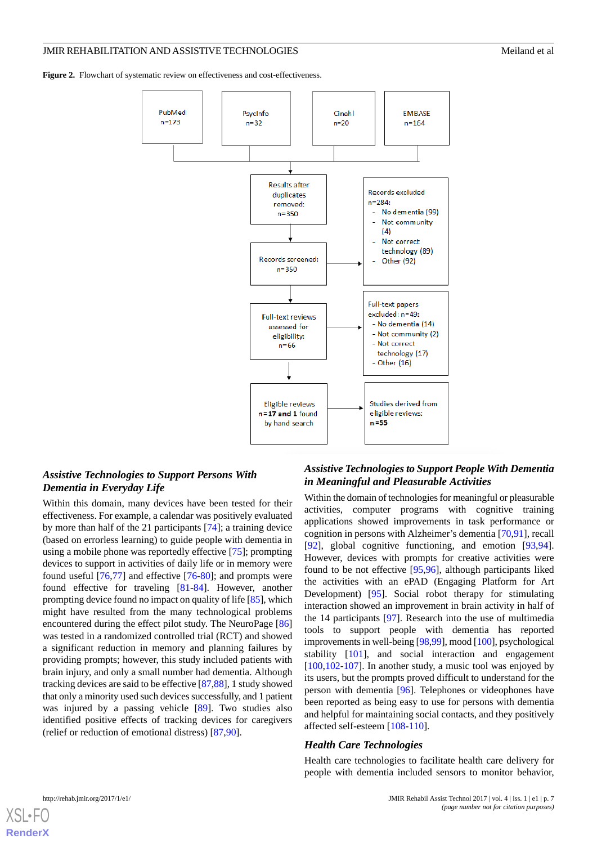<span id="page-6-0"></span>Figure 2. Flowchart of systematic review on effectiveness and cost-effectiveness.



# *Assistive Technologies to Support Persons With Dementia in Everyday Life*

Within this domain, many devices have been tested for their effectiveness. For example, a calendar was positively evaluated by more than half of the 21 participants [[74\]](#page-15-12); a training device (based on errorless learning) to guide people with dementia in using a mobile phone was reportedly effective [[75\]](#page-15-13); prompting devices to support in activities of daily life or in memory were found useful [[76,](#page-15-14)[77](#page-15-15)] and effective [\[76](#page-15-14)-[80\]](#page-15-16); and prompts were found effective for traveling [[81-](#page-15-17)[84](#page-16-0)]. However, another prompting device found no impact on quality of life [[85\]](#page-16-1), which might have resulted from the many technological problems encountered during the effect pilot study. The NeuroPage [\[86](#page-16-2)] was tested in a randomized controlled trial (RCT) and showed a significant reduction in memory and planning failures by providing prompts; however, this study included patients with brain injury, and only a small number had dementia. Although tracking devices are said to be effective [\[87](#page-16-3)[,88](#page-16-4)], 1 study showed that only a minority used such devices successfully, and 1 patient was injured by a passing vehicle [\[89](#page-16-5)]. Two studies also identified positive effects of tracking devices for caregivers (relief or reduction of emotional distress) [\[87](#page-16-3),[90\]](#page-16-6).

# *Assistive Technologies to Support People With Dementia in Meaningful and Pleasurable Activities*

Within the domain of technologies for meaningful or pleasurable activities, computer programs with cognitive training applications showed improvements in task performance or cognition in persons with Alzheimer's dementia [[70](#page-15-8)[,91](#page-16-7)], recall [[92\]](#page-16-8), global cognitive functioning, and emotion [\[93](#page-16-9),[94\]](#page-16-10). However, devices with prompts for creative activities were found to be not effective [\[95](#page-16-11),[96\]](#page-16-12), although participants liked the activities with an ePAD (Engaging Platform for Art Development) [\[95](#page-16-11)]. Social robot therapy for stimulating interaction showed an improvement in brain activity in half of the 14 participants [[97\]](#page-16-13). Research into the use of multimedia tools to support people with dementia has reported improvements in well-being [\[98](#page-16-14),[99](#page-16-15)], mood [[100](#page-16-16)], psychological stability [\[101](#page-16-17)], and social interaction and engagement [[100](#page-16-16)[,102-](#page-16-18)[107\]](#page-17-0). In another study, a music tool was enjoyed by its users, but the prompts proved difficult to understand for the person with dementia [\[96](#page-16-12)]. Telephones or videophones have been reported as being easy to use for persons with dementia and helpful for maintaining social contacts, and they positively affected self-esteem [[108](#page-17-1)-[110\]](#page-17-2).

#### *Health Care Technologies*

Health care technologies to facilitate health care delivery for people with dementia included sensors to monitor behavior,

```
XSL•FO
RenderX
```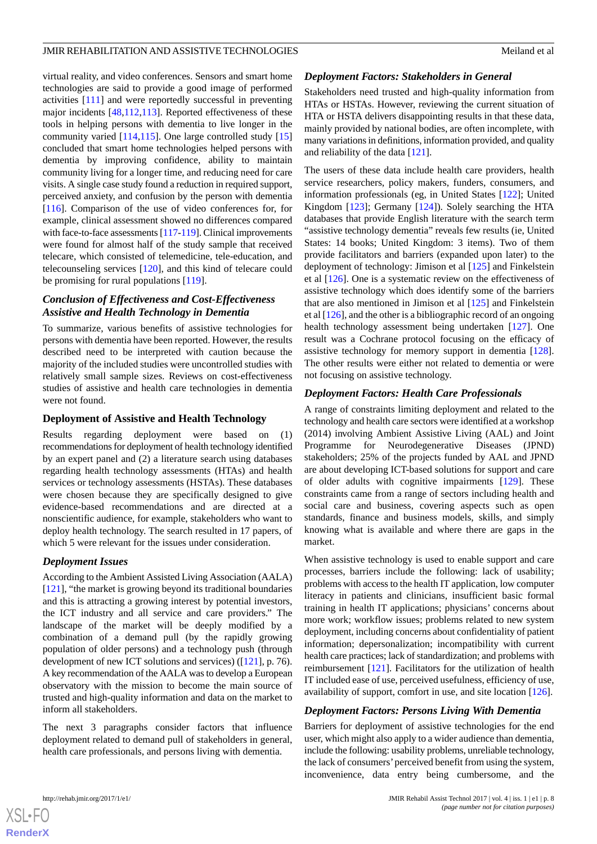virtual reality, and video conferences. Sensors and smart home technologies are said to provide a good image of performed activities [\[111](#page-17-3)] and were reportedly successful in preventing major incidents [\[48](#page-14-10),[112](#page-17-4)[,113](#page-17-5)]. Reported effectiveness of these tools in helping persons with dementia to live longer in the community varied [\[114](#page-17-6),[115\]](#page-17-7). One large controlled study [\[15](#page-13-1)] concluded that smart home technologies helped persons with dementia by improving confidence, ability to maintain community living for a longer time, and reducing need for care visits. A single case study found a reduction in required support, perceived anxiety, and confusion by the person with dementia [[116\]](#page-17-8). Comparison of the use of video conferences for, for example, clinical assessment showed no differences compared with face-to-face assessments [[117](#page-17-9)-[119](#page-17-10)]. Clinical improvements were found for almost half of the study sample that received telecare, which consisted of telemedicine, tele-education, and telecounseling services [\[120\]](#page-17-11), and this kind of telecare could be promising for rural populations [[119\]](#page-17-10).

## *Conclusion of Effectiveness and Cost-Effectiveness Assistive and Health Technology in Dementia*

To summarize, various benefits of assistive technologies for persons with dementia have been reported. However, the results described need to be interpreted with caution because the majority of the included studies were uncontrolled studies with relatively small sample sizes. Reviews on cost-effectiveness studies of assistive and health care technologies in dementia were not found.

#### **Deployment of Assistive and Health Technology**

Results regarding deployment were based on (1) recommendations for deployment of health technology identified by an expert panel and (2) a literature search using databases regarding health technology assessments (HTAs) and health services or technology assessments (HSTAs). These databases were chosen because they are specifically designed to give evidence-based recommendations and are directed at a nonscientific audience, for example, stakeholders who want to deploy health technology. The search resulted in 17 papers, of which 5 were relevant for the issues under consideration.

#### *Deployment Issues*

According to the Ambient Assisted Living Association (AALA) [[121\]](#page-17-12), "the market is growing beyond its traditional boundaries and this is attracting a growing interest by potential investors, the ICT industry and all service and care providers." The landscape of the market will be deeply modified by a combination of a demand pull (by the rapidly growing population of older persons) and a technology push (through development of new ICT solutions and services) ([\[121](#page-17-12)], p. 76). A key recommendation of the AALA was to develop a European observatory with the mission to become the main source of trusted and high-quality information and data on the market to inform all stakeholders.

The next 3 paragraphs consider factors that influence deployment related to demand pull of stakeholders in general, health care professionals, and persons living with dementia.

#### *Deployment Factors: Stakeholders in General*

Stakeholders need trusted and high-quality information from HTAs or HSTAs. However, reviewing the current situation of HTA or HSTA delivers disappointing results in that these data, mainly provided by national bodies, are often incomplete, with many variations in definitions, information provided, and quality and reliability of the data [\[121](#page-17-12)].

The users of these data include health care providers, health service researchers, policy makers, funders, consumers, and information professionals (eg, in United States [\[122](#page-17-13)]; United Kingdom [[123\]](#page-17-14); Germany [[124\]](#page-17-15)). Solely searching the HTA databases that provide English literature with the search term "assistive technology dementia" reveals few results (ie, United States: 14 books; United Kingdom: 3 items). Two of them provide facilitators and barriers (expanded upon later) to the deployment of technology: Jimison et al [\[125\]](#page-17-16) and Finkelstein et al [\[126](#page-17-17)]. One is a systematic review on the effectiveness of assistive technology which does identify some of the barriers that are also mentioned in Jimison et al [[125\]](#page-17-16) and Finkelstein et al [\[126](#page-17-17)], and the other is a bibliographic record of an ongoing health technology assessment being undertaken [\[127\]](#page-17-18). One result was a Cochrane protocol focusing on the efficacy of assistive technology for memory support in dementia [[128\]](#page-17-19). The other results were either not related to dementia or were not focusing on assistive technology.

#### *Deployment Factors: Health Care Professionals*

A range of constraints limiting deployment and related to the technology and health care sectors were identified at a workshop (2014) involving Ambient Assistive Living (AAL) and Joint Programme for Neurodegenerative Diseases (JPND) stakeholders; 25% of the projects funded by AAL and JPND are about developing ICT-based solutions for support and care of older adults with cognitive impairments [[129\]](#page-17-20). These constraints came from a range of sectors including health and social care and business, covering aspects such as open standards, finance and business models, skills, and simply knowing what is available and where there are gaps in the market.

When assistive technology is used to enable support and care processes, barriers include the following: lack of usability; problems with access to the health IT application, low computer literacy in patients and clinicians, insufficient basic formal training in health IT applications; physicians' concerns about more work; workflow issues; problems related to new system deployment, including concerns about confidentiality of patient information; depersonalization; incompatibility with current health care practices; lack of standardization; and problems with reimbursement [\[121](#page-17-12)]. Facilitators for the utilization of health IT included ease of use, perceived usefulness, efficiency of use, availability of support, comfort in use, and site location [[126\]](#page-17-17).

#### *Deployment Factors: Persons Living With Dementia*

Barriers for deployment of assistive technologies for the end user, which might also apply to a wider audience than dementia, include the following: usability problems, unreliable technology, the lack of consumers'perceived benefit from using the system, inconvenience, data entry being cumbersome, and the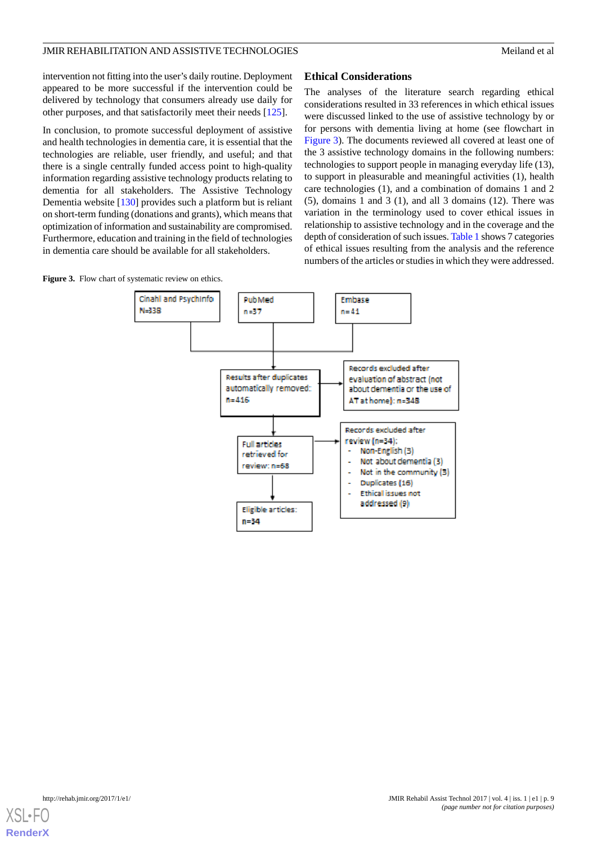intervention not fitting into the user's daily routine. Deployment appeared to be more successful if the intervention could be delivered by technology that consumers already use daily for other purposes, and that satisfactorily meet their needs [[125\]](#page-17-16).

In conclusion, to promote successful deployment of assistive and health technologies in dementia care, it is essential that the technologies are reliable, user friendly, and useful; and that there is a single centrally funded access point to high-quality information regarding assistive technology products relating to dementia for all stakeholders. The Assistive Technology Dementia website [\[130](#page-17-21)] provides such a platform but is reliant on short-term funding (donations and grants), which means that optimization of information and sustainability are compromised. Furthermore, education and training in the field of technologies in dementia care should be available for all stakeholders.

## **Ethical Considerations**

The analyses of the literature search regarding ethical considerations resulted in 33 references in which ethical issues were discussed linked to the use of assistive technology by or for persons with dementia living at home (see flowchart in [Figure 3\)](#page-8-0). The documents reviewed all covered at least one of the 3 assistive technology domains in the following numbers: technologies to support people in managing everyday life (13), to support in pleasurable and meaningful activities (1), health care technologies (1), and a combination of domains 1 and 2  $(5)$ , domains 1 and 3  $(1)$ , and all 3 domains  $(12)$ . There was variation in the terminology used to cover ethical issues in relationship to assistive technology and in the coverage and the depth of consideration of such issues. [Table 1](#page-9-0) shows 7 categories of ethical issues resulting from the analysis and the reference numbers of the articles or studies in which they were addressed.

<span id="page-8-0"></span>



**[RenderX](http://www.renderx.com/)**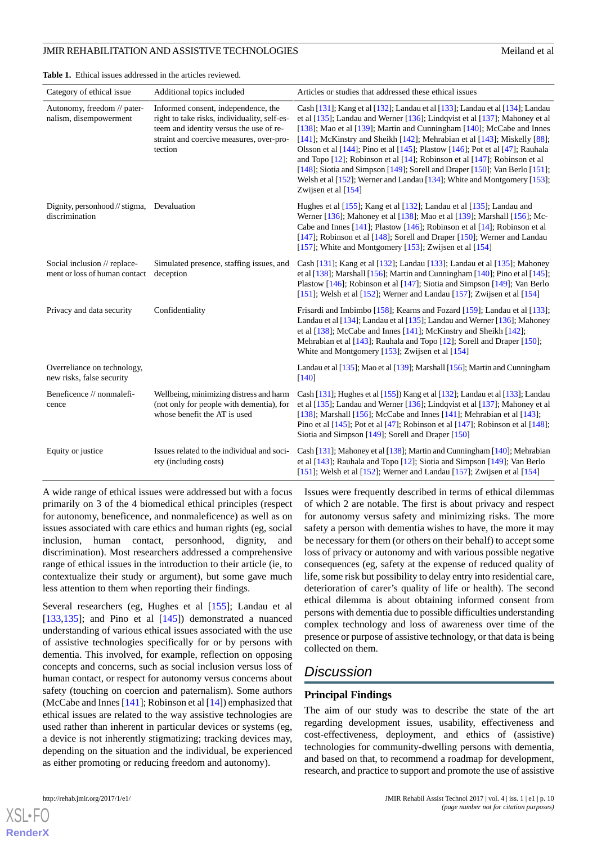#### JMIR REHABILITATION AND ASSISTIVE TECHNOLOGIES **Subsequent and the interval of all and the interval of all and the interval of all and the interval of all and the interval of all and the interval of all and the interval of**

<span id="page-9-0"></span>**Table 1.** Ethical issues addressed in the articles reviewed.

| Category of ethical issue                                     | Additional topics included                                                                                                                                                            | Articles or studies that addressed these ethical issues                                                                                                                                                                                                                                                                                                                                                                                                                                                                                                                                                                                                                                     |
|---------------------------------------------------------------|---------------------------------------------------------------------------------------------------------------------------------------------------------------------------------------|---------------------------------------------------------------------------------------------------------------------------------------------------------------------------------------------------------------------------------------------------------------------------------------------------------------------------------------------------------------------------------------------------------------------------------------------------------------------------------------------------------------------------------------------------------------------------------------------------------------------------------------------------------------------------------------------|
| Autonomy, freedom // pater-<br>nalism, disempowerment         | Informed consent, independence, the<br>right to take risks, individuality, self-es-<br>teem and identity versus the use of re-<br>straint and coercive measures, over-pro-<br>tection | Cash [131]; Kang et al [132]; Landau et al [133]; Landau et al [134]; Landau<br>et al $[135]$ ; Landau and Werner $[136]$ ; Lindqvist et al $[137]$ ; Mahoney et al<br>[138]; Mao et al [139]; Martin and Cunningham [140]; McCabe and Innes<br>[141]; McKinstry and Sheikh [142]; Mehrabian et al [143]; Miskelly [88];<br>Olsson et al $[144]$ ; Pino et al $[145]$ ; Plastow $[146]$ ; Pot et al $[47]$ ; Rauhala<br>and Topo $[12]$ ; Robinson et al $[14]$ ; Robinson et al $[147]$ ; Robinson et al<br>[148]; Siotia and Simpson [149]; Sorell and Draper [150]; Van Berlo [151];<br>Welsh et al [152]; Werner and Landau [134]; White and Montgomery [153];<br>Zwijsen et al $[154]$ |
| Dignity, personhood // stigma, Devaluation<br>discrimination  |                                                                                                                                                                                       | Hughes et al [155]; Kang et al [132]; Landau et al [135]; Landau and<br>Werner [136]; Mahoney et al [138]; Mao et al [139]; Marshall [156]; Mc-<br>Cabe and Innes [141]; Plastow [146]; Robinson et al [14]; Robinson et al<br>[147]; Robinson et al [148]; Sorell and Draper [150]; Werner and Landau<br>[157]; White and Montgomery [153]; Zwijsen et al $[154]$                                                                                                                                                                                                                                                                                                                          |
| Social inclusion // replace-<br>ment or loss of human contact | Simulated presence, staffing issues, and<br>deception                                                                                                                                 | Cash [131]; Kang et al [132]; Landau [133]; Landau et al [135]; Mahoney<br>et al $[138]$ ; Marshall $[156]$ ; Martin and Cunningham $[140]$ ; Pino et al $[145]$ ;<br>Plastow [146]; Robinson et al [147]; Siotia and Simpson [149]; Van Berlo<br>[151]; Welsh et al [152]; Werner and Landau [157]; Zwijsen et al $[154]$                                                                                                                                                                                                                                                                                                                                                                  |
| Privacy and data security                                     | Confidentiality                                                                                                                                                                       | Frisardi and Imbimbo [158]; Kearns and Fozard [159]; Landau et al [133];<br>Landau et al [134]; Landau et al [135]; Landau and Werner [136]; Mahoney<br>et al [138]; McCabe and Innes [141]; McKinstry and Sheikh [142];<br>Mehrabian et al [143]; Rauhala and Topo [12]; Sorell and Draper [150];<br>White and Montgomery [153]; Zwijsen et al $[154]$                                                                                                                                                                                                                                                                                                                                     |
| Overreliance on technology,<br>new risks, false security      |                                                                                                                                                                                       | Landau et al [135]; Mao et al [139]; Marshall [156]; Martin and Cunningham<br>$[140]$                                                                                                                                                                                                                                                                                                                                                                                                                                                                                                                                                                                                       |
| Beneficence // nonmalefi-<br>cence                            | Wellbeing, minimizing distress and harm<br>(not only for people with dementia), for<br>whose benefit the AT is used                                                                   | Cash [131]; Hughes et al [155]) Kang et al [132]; Landau et al [133]; Landau<br>et al $[135]$ ; Landau and Werner $[136]$ ; Lindqvist et al $[137]$ ; Mahoney et al<br>[138]; Marshall [156]; McCabe and Innes [141]; Mehrabian et al $[143]$ ;<br>Pino et al $[145]$ ; Pot et al $[47]$ ; Robinson et al $[147]$ ; Robinson et al $[148]$ ;<br>Siotia and Simpson [149]; Sorell and Draper [150]                                                                                                                                                                                                                                                                                           |
| Equity or justice                                             | Issues related to the individual and soci-<br>ety (including costs)                                                                                                                   | Cash [131]; Mahoney et al [138]; Martin and Cunningham [140]; Mehrabian<br>et al $[143]$ ; Rauhala and Topo $[12]$ ; Siotia and Simpson $[149]$ ; Van Berlo<br>[151]; Welsh et al [152]; Werner and Landau [157]; Zwijsen et al $[154]$                                                                                                                                                                                                                                                                                                                                                                                                                                                     |

A wide range of ethical issues were addressed but with a focus primarily on 3 of the 4 biomedical ethical principles (respect for autonomy, beneficence, and nonmaleficence) as well as on issues associated with care ethics and human rights (eg, social inclusion, human contact, personhood, dignity, and discrimination). Most researchers addressed a comprehensive range of ethical issues in the introduction to their article (ie, to contextualize their study or argument), but some gave much less attention to them when reporting their findings.

Several researchers (eg, Hughes et al [[155\]](#page-19-1); Landau et al [[133](#page-18-2)[,135](#page-18-4)]; and Pino et al  $[145]$  $[145]$  demonstrated a nuanced understanding of various ethical issues associated with the use of assistive technologies specifically for or by persons with dementia. This involved, for example, reflection on opposing concepts and concerns, such as social inclusion versus loss of human contact, or respect for autonomy versus concerns about safety (touching on coercion and paternalism). Some authors (McCabe and Innes  $[141]$  $[141]$ ; Robinson et al  $[14]$  $[14]$ ) emphasized that ethical issues are related to the way assistive technologies are used rather than inherent in particular devices or systems (eg, a device is not inherently stigmatizing; tracking devices may, depending on the situation and the individual, be experienced as either promoting or reducing freedom and autonomy).

[XSL](http://www.w3.org/Style/XSL)•FO **[RenderX](http://www.renderx.com/)**

Issues were frequently described in terms of ethical dilemmas of which 2 are notable. The first is about privacy and respect for autonomy versus safety and minimizing risks. The more safety a person with dementia wishes to have, the more it may be necessary for them (or others on their behalf) to accept some loss of privacy or autonomy and with various possible negative consequences (eg, safety at the expense of reduced quality of life, some risk but possibility to delay entry into residential care, deterioration of carer's quality of life or health). The second ethical dilemma is about obtaining informed consent from persons with dementia due to possible difficulties understanding complex technology and loss of awareness over time of the presence or purpose of assistive technology, or that data is being collected on them.

# *Discussion*

#### **Principal Findings**

The aim of our study was to describe the state of the art regarding development issues, usability, effectiveness and cost-effectiveness, deployment, and ethics of (assistive) technologies for community-dwelling persons with dementia, and based on that, to recommend a roadmap for development, research, and practice to support and promote the use of assistive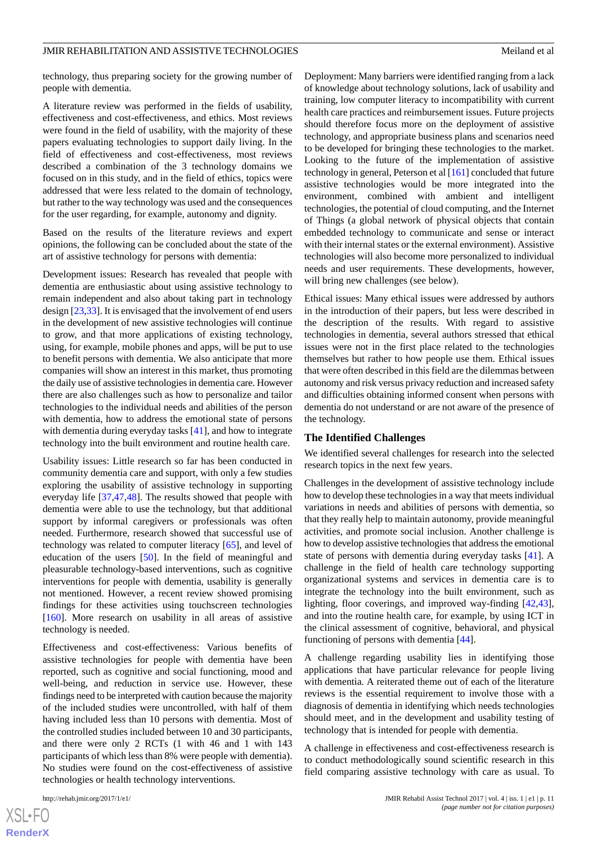technology, thus preparing society for the growing number of people with dementia.

A literature review was performed in the fields of usability, effectiveness and cost-effectiveness, and ethics. Most reviews were found in the field of usability, with the majority of these papers evaluating technologies to support daily living. In the field of effectiveness and cost-effectiveness, most reviews described a combination of the 3 technology domains we focused on in this study, and in the field of ethics, topics were addressed that were less related to the domain of technology, but rather to the way technology was used and the consequences for the user regarding, for example, autonomy and dignity.

Based on the results of the literature reviews and expert opinions, the following can be concluded about the state of the art of assistive technology for persons with dementia:

Development issues: Research has revealed that people with dementia are enthusiastic about using assistive technology to remain independent and also about taking part in technology design [[23](#page-13-9)[,33](#page-13-19)]. It is envisaged that the involvement of end users in the development of new assistive technologies will continue to grow, and that more applications of existing technology, using, for example, mobile phones and apps, will be put to use to benefit persons with dementia. We also anticipate that more companies will show an interest in this market, thus promoting the daily use of assistive technologies in dementia care. However there are also challenges such as how to personalize and tailor technologies to the individual needs and abilities of the person with dementia, how to address the emotional state of persons with dementia during everyday tasks [\[41](#page-14-3)], and how to integrate technology into the built environment and routine health care.

Usability issues: Little research so far has been conducted in community dementia care and support, with only a few studies exploring the usability of assistive technology in supporting everyday life [\[37](#page-13-22),[47](#page-14-9)[,48](#page-14-10)]. The results showed that people with dementia were able to use the technology, but that additional support by informal caregivers or professionals was often needed. Furthermore, research showed that successful use of technology was related to computer literacy [\[65](#page-15-5)], and level of education of the users [\[50](#page-14-12)]. In the field of meaningful and pleasurable technology-based interventions, such as cognitive interventions for people with dementia, usability is generally not mentioned. However, a recent review showed promising findings for these activities using touchscreen technologies [[160\]](#page-19-6). More research on usability in all areas of assistive technology is needed.

Effectiveness and cost-effectiveness: Various benefits of assistive technologies for people with dementia have been reported, such as cognitive and social functioning, mood and well-being, and reduction in service use. However, these findings need to be interpreted with caution because the majority of the included studies were uncontrolled, with half of them having included less than 10 persons with dementia. Most of the controlled studies included between 10 and 30 participants, and there were only 2 RCTs (1 with 46 and 1 with 143 participants of which less than 8% were people with dementia). No studies were found on the cost-effectiveness of assistive technologies or health technology interventions.

Deployment: Many barriers were identified ranging from a lack of knowledge about technology solutions, lack of usability and training, low computer literacy to incompatibility with current health care practices and reimbursement issues. Future projects should therefore focus more on the deployment of assistive technology, and appropriate business plans and scenarios need to be developed for bringing these technologies to the market. Looking to the future of the implementation of assistive technology in general, Peterson et al [[161\]](#page-19-7) concluded that future assistive technologies would be more integrated into the environment, combined with ambient and intelligent technologies, the potential of cloud computing, and the Internet of Things (a global network of physical objects that contain embedded technology to communicate and sense or interact with their internal states or the external environment). Assistive technologies will also become more personalized to individual needs and user requirements. These developments, however, will bring new challenges (see below).

Ethical issues: Many ethical issues were addressed by authors in the introduction of their papers, but less were described in the description of the results. With regard to assistive technologies in dementia, several authors stressed that ethical issues were not in the first place related to the technologies themselves but rather to how people use them. Ethical issues that were often described in this field are the dilemmas between autonomy and risk versus privacy reduction and increased safety and difficulties obtaining informed consent when persons with dementia do not understand or are not aware of the presence of the technology.

#### **The Identified Challenges**

We identified several challenges for research into the selected research topics in the next few years.

Challenges in the development of assistive technology include how to develop these technologies in a way that meets individual variations in needs and abilities of persons with dementia, so that they really help to maintain autonomy, provide meaningful activities, and promote social inclusion. Another challenge is how to develop assistive technologies that address the emotional state of persons with dementia during everyday tasks [\[41](#page-14-3)]. A challenge in the field of health care technology supporting organizational systems and services in dementia care is to integrate the technology into the built environment, such as lighting, floor coverings, and improved way-finding [\[42](#page-14-4),[43\]](#page-14-5), and into the routine health care, for example, by using ICT in the clinical assessment of cognitive, behavioral, and physical functioning of persons with dementia [[44\]](#page-14-6).

A challenge regarding usability lies in identifying those applications that have particular relevance for people living with dementia. A reiterated theme out of each of the literature reviews is the essential requirement to involve those with a diagnosis of dementia in identifying which needs technologies should meet, and in the development and usability testing of technology that is intended for people with dementia.

A challenge in effectiveness and cost-effectiveness research is to conduct methodologically sound scientific research in this field comparing assistive technology with care as usual. To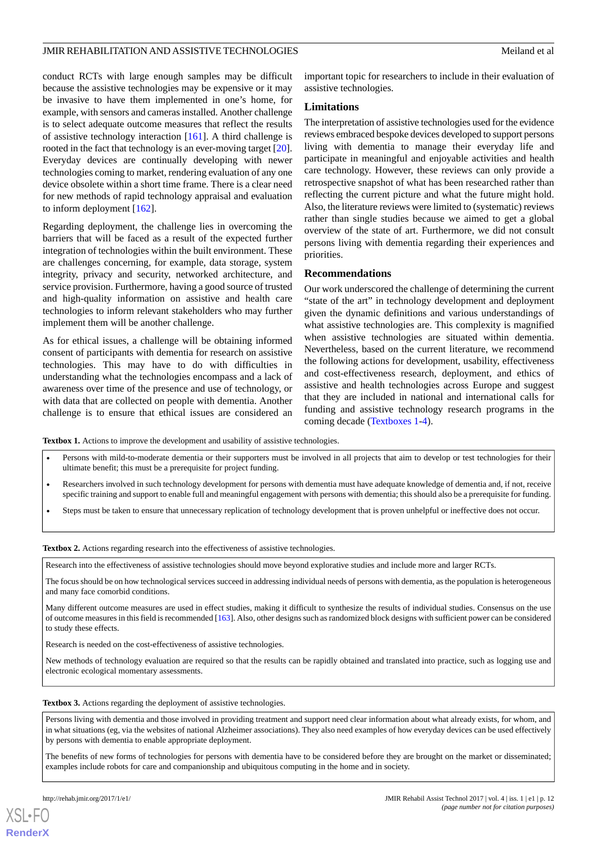conduct RCTs with large enough samples may be difficult because the assistive technologies may be expensive or it may be invasive to have them implemented in one's home, for example, with sensors and cameras installed. Another challenge is to select adequate outcome measures that reflect the results of assistive technology interaction [\[161](#page-19-7)]. A third challenge is rooted in the fact that technology is an ever-moving target [[20\]](#page-13-6). Everyday devices are continually developing with newer technologies coming to market, rendering evaluation of any one device obsolete within a short time frame. There is a clear need for new methods of rapid technology appraisal and evaluation to inform deployment [[162](#page-19-8)].

Regarding deployment, the challenge lies in overcoming the barriers that will be faced as a result of the expected further integration of technologies within the built environment. These are challenges concerning, for example, data storage, system integrity, privacy and security, networked architecture, and service provision. Furthermore, having a good source of trusted and high-quality information on assistive and health care technologies to inform relevant stakeholders who may further implement them will be another challenge.

As for ethical issues, a challenge will be obtaining informed consent of participants with dementia for research on assistive technologies. This may have to do with difficulties in understanding what the technologies encompass and a lack of awareness over time of the presence and use of technology, or with data that are collected on people with dementia. Another challenge is to ensure that ethical issues are considered an important topic for researchers to include in their evaluation of assistive technologies.

#### **Limitations**

The interpretation of assistive technologies used for the evidence reviews embraced bespoke devices developed to support persons living with dementia to manage their everyday life and participate in meaningful and enjoyable activities and health care technology. However, these reviews can only provide a retrospective snapshot of what has been researched rather than reflecting the current picture and what the future might hold. Also, the literature reviews were limited to (systematic) reviews rather than single studies because we aimed to get a global overview of the state of art. Furthermore, we did not consult persons living with dementia regarding their experiences and priorities.

#### **Recommendations**

Our work underscored the challenge of determining the current "state of the art" in technology development and deployment given the dynamic definitions and various understandings of what assistive technologies are. This complexity is magnified when assistive technologies are situated within dementia. Nevertheless, based on the current literature, we recommend the following actions for development, usability, effectiveness and cost-effectiveness research, deployment, and ethics of assistive and health technologies across Europe and suggest that they are included in national and international calls for funding and assistive technology research programs in the coming decade ([Textboxes 1](#page-11-0)[-4](#page-12-13)).

<span id="page-11-0"></span>**Textbox 1.** Actions to improve the development and usability of assistive technologies.

- Persons with mild-to-moderate dementia or their supporters must be involved in all projects that aim to develop or test technologies for their ultimate benefit; this must be a prerequisite for project funding.
- Researchers involved in such technology development for persons with dementia must have adequate knowledge of dementia and, if not, receive specific training and support to enable full and meaningful engagement with persons with dementia; this should also be a prerequisite for funding.
- Steps must be taken to ensure that unnecessary replication of technology development that is proven unhelpful or ineffective does not occur.

**Textbox 2.** Actions regarding research into the effectiveness of assistive technologies.

Research into the effectiveness of assistive technologies should move beyond explorative studies and include more and larger RCTs.

The focus should be on how technological services succeed in addressing individual needs of persons with dementia, as the population is heterogeneous and many face comorbid conditions.

Many different outcome measures are used in effect studies, making it difficult to synthesize the results of individual studies. Consensus on the use of outcome measures in this field is recommended [\[163\]](#page-19-9). Also, other designs such as randomized block designs with sufficient power can be considered to study these effects.

Research is needed on the cost-effectiveness of assistive technologies.

New methods of technology evaluation are required so that the results can be rapidly obtained and translated into practice, such as logging use and electronic ecological momentary assessments.

#### **Textbox 3.** Actions regarding the deployment of assistive technologies.

Persons living with dementia and those involved in providing treatment and support need clear information about what already exists, for whom, and in what situations (eg, via the websites of national Alzheimer associations). They also need examples of how everyday devices can be used effectively by persons with dementia to enable appropriate deployment.

The benefits of new forms of technologies for persons with dementia have to be considered before they are brought on the market or disseminated; examples include robots for care and companionship and ubiquitous computing in the home and in society.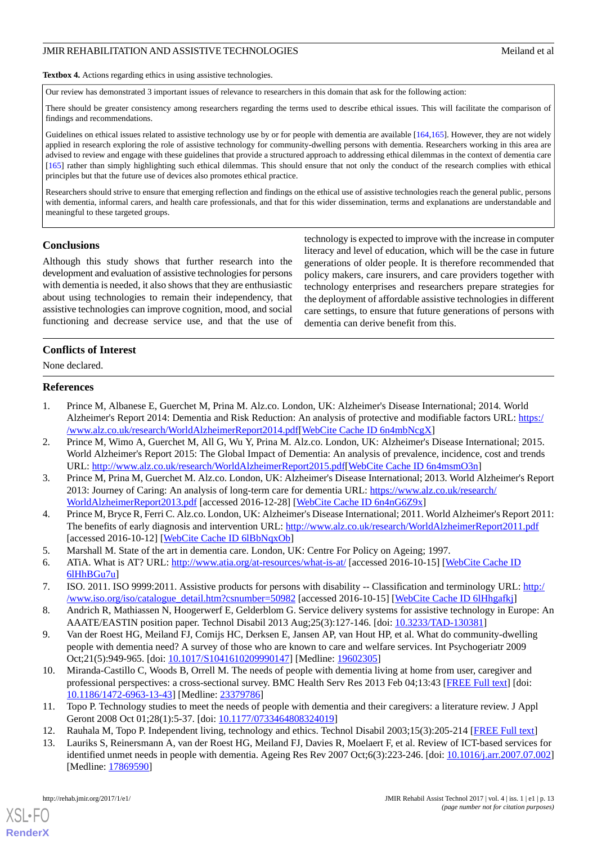<span id="page-12-13"></span>**Textbox 4.** Actions regarding ethics in using assistive technologies.

Our review has demonstrated 3 important issues of relevance to researchers in this domain that ask for the following action:

There should be greater consistency among researchers regarding the terms used to describe ethical issues. This will facilitate the comparison of findings and recommendations.

Guidelines on ethical issues related to assistive technology use by or for people with dementia are available [\[164](#page-19-10)[,165\]](#page-19-11). However, they are not widely applied in research exploring the role of assistive technology for community-dwelling persons with dementia. Researchers working in this area are advised to review and engage with these guidelines that provide a structured approach to addressing ethical dilemmas in the context of dementia care [\[165](#page-19-11)] rather than simply highlighting such ethical dilemmas. This should ensure that not only the conduct of the research complies with ethical principles but that the future use of devices also promotes ethical practice.

Researchers should strive to ensure that emerging reflection and findings on the ethical use of assistive technologies reach the general public, persons with dementia, informal carers, and health care professionals, and that for this wider dissemination, terms and explanations are understandable and meaningful to these targeted groups.

#### **Conclusions**

Although this study shows that further research into the development and evaluation of assistive technologies for persons with dementia is needed, it also shows that they are enthusiastic about using technologies to remain their independency, that assistive technologies can improve cognition, mood, and social functioning and decrease service use, and that the use of technology is expected to improve with the increase in computer literacy and level of education, which will be the case in future generations of older people. It is therefore recommended that policy makers, care insurers, and care providers together with technology enterprises and researchers prepare strategies for the deployment of affordable assistive technologies in different care settings, to ensure that future generations of persons with dementia can derive benefit from this.

# **Conflicts of Interest**

<span id="page-12-0"></span>None declared.

#### **References**

- <span id="page-12-1"></span>1. Prince M, Albanese E, Guerchet M, Prina M. Alz.co. London, UK: Alzheimer's Disease International; 2014. World Alzheimer's Report 2014: Dementia and Risk Reduction: An analysis of protective and modifiable factors URL: [https:/](https://www.alz.co.uk/research/WorldAlzheimerReport2014.pdf) [/www.alz.co.uk/research/WorldAlzheimerReport2014.pdf\[](https://www.alz.co.uk/research/WorldAlzheimerReport2014.pdf)[WebCite Cache ID 6n4mbNcgX\]](http://www.webcitation.org/

                                            6n4mbNcgX)
- <span id="page-12-2"></span>2. Prince M, Wimo A, Guerchet M, All G, Wu Y, Prina M. Alz.co. London, UK: Alzheimer's Disease International; 2015. World Alzheimer's Report 2015: The Global Impact of Dementia: An analysis of prevalence, incidence, cost and trends URL: <http://www.alz.co.uk/research/WorldAlzheimerReport2015.pdf>[[WebCite Cache ID 6n4msmO3n\]](http://www.webcitation.org/

                                            6n4msmO3n)
- <span id="page-12-4"></span><span id="page-12-3"></span>3. Prince M, Prina M, Guerchet M. Alz.co. London, UK: Alzheimer's Disease International; 2013. World Alzheimer's Report 2013: Journey of Caring: An analysis of long-term care for dementia URL: [https://www.alz.co.uk/research/](https://www.alz.co.uk/research/WorldAlzheimerReport2013.pdf) [WorldAlzheimerReport2013.pdf](https://www.alz.co.uk/research/WorldAlzheimerReport2013.pdf) [accessed 2016-12-28] [[WebCite Cache ID 6n4nG6Z9x\]](http://www.webcitation.org/

                                            6n4nG6Z9x)
- <span id="page-12-6"></span><span id="page-12-5"></span>4. Prince M, Bryce R, Ferri C. Alz.co. London, UK: Alzheimer's Disease International; 2011. World Alzheimer's Report 2011: The benefits of early diagnosis and intervention URL:<http://www.alz.co.uk/research/WorldAlzheimerReport2011.pdf> [accessed 2016-10-12] [\[WebCite Cache ID 6lBbNqxOb\]](http://www.webcitation.org/

                                            6lBbNqxOb)
- <span id="page-12-7"></span>5. Marshall M. State of the art in dementia care. London, UK: Centre For Policy on Ageing; 1997.
- <span id="page-12-8"></span>6. ATiA. What is AT? URL:<http://www.atia.org/at-resources/what-is-at/> [accessed 2016-10-15] [\[WebCite Cache ID](http://www.webcitation.org/

                                            6lHhBGu7u) [6lHhBGu7u](http://www.webcitation.org/

                                            6lHhBGu7u)]
- 7. ISO. 2011. ISO 9999:2011. Assistive products for persons with disability -- Classification and terminology URL: [http:/](http://www.iso.org/iso/catalogue_detail.htm?csnumber=50982) [/www.iso.org/iso/catalogue\\_detail.htm?csnumber=50982](http://www.iso.org/iso/catalogue_detail.htm?csnumber=50982) [accessed 2016-10-15] [\[WebCite Cache ID 6lHhgafkj](http://www.webcitation.org/

                                            6lHhgafkj)]
- <span id="page-12-9"></span>8. Andrich R, Mathiassen N, Hoogerwerf E, Gelderblom G. Service delivery systems for assistive technology in Europe: An AAATE/EASTIN position paper. Technol Disabil 2013 Aug;25(3):127-146. [doi: [10.3233/TAD-130381](http://dx.doi.org/10.3233/TAD-130381)]
- <span id="page-12-10"></span>9. Van der Roest HG, Meiland FJ, Comijs HC, Derksen E, Jansen AP, van Hout HP, et al. What do community-dwelling people with dementia need? A survey of those who are known to care and welfare services. Int Psychogeriatr 2009 Oct;21(5):949-965. [doi: [10.1017/S1041610209990147\]](http://dx.doi.org/10.1017/S1041610209990147) [Medline: [19602305](http://www.ncbi.nlm.nih.gov/entrez/query.fcgi?cmd=Retrieve&db=PubMed&list_uids=19602305&dopt=Abstract)]
- <span id="page-12-12"></span><span id="page-12-11"></span>10. Miranda-Castillo C, Woods B, Orrell M. The needs of people with dementia living at home from user, caregiver and professional perspectives: a cross-sectional survey. BMC Health Serv Res 2013 Feb 04;13:43 [\[FREE Full text\]](https://bmchealthservres.biomedcentral.com/articles/10.1186/1472-6963-13-43) [doi: [10.1186/1472-6963-13-43\]](http://dx.doi.org/10.1186/1472-6963-13-43) [Medline: [23379786\]](http://www.ncbi.nlm.nih.gov/entrez/query.fcgi?cmd=Retrieve&db=PubMed&list_uids=23379786&dopt=Abstract)
- 11. Topo P. Technology studies to meet the needs of people with dementia and their caregivers: a literature review. J Appl Geront 2008 Oct 01;28(1):5-37. [doi: [10.1177/0733464808324019\]](http://dx.doi.org/10.1177/0733464808324019)
- 12. Rauhala M, Topo P. Independent living, technology and ethics. Technol Disabil 2003;15(3):205-214 [\[FREE Full text\]](http://content.iospress.com/articles/technology-and-disability/tad00134)
- 13. Lauriks S, Reinersmann A, van der Roest HG, Meiland FJ, Davies R, Moelaert F, et al. Review of ICT-based services for identified unmet needs in people with dementia. Ageing Res Rev 2007 Oct;6(3):223-246. [doi: [10.1016/j.arr.2007.07.002](http://dx.doi.org/10.1016/j.arr.2007.07.002)] [Medline: [17869590](http://www.ncbi.nlm.nih.gov/entrez/query.fcgi?cmd=Retrieve&db=PubMed&list_uids=17869590&dopt=Abstract)]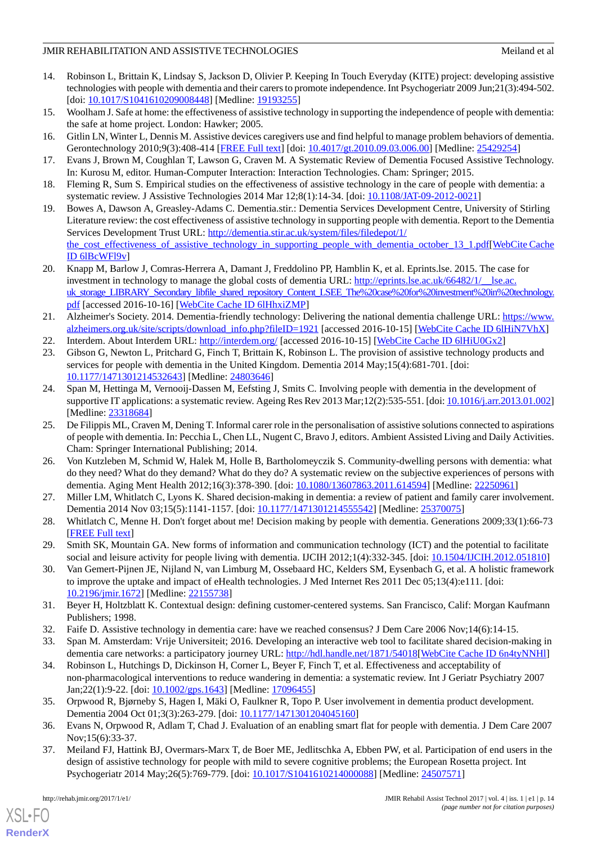- <span id="page-13-0"></span>14. Robinson L, Brittain K, Lindsay S, Jackson D, Olivier P. Keeping In Touch Everyday (KITE) project: developing assistive technologies with people with dementia and their carers to promote independence. Int Psychogeriatr 2009 Jun;21(3):494-502. [doi: [10.1017/S1041610209008448\]](http://dx.doi.org/10.1017/S1041610209008448) [Medline: [19193255](http://www.ncbi.nlm.nih.gov/entrez/query.fcgi?cmd=Retrieve&db=PubMed&list_uids=19193255&dopt=Abstract)]
- <span id="page-13-2"></span><span id="page-13-1"></span>15. Woolham J. Safe at home: the effectiveness of assistive technology in supporting the independence of people with dementia: the safe at home project. London: Hawker; 2005.
- <span id="page-13-3"></span>16. Gitlin LN, Winter L, Dennis M. Assistive devices caregivers use and find helpful to manage problem behaviors of dementia. Gerontechnology 2010;9(3):408-414 [[FREE Full text](http://europepmc.org/abstract/MED/25429254)] [doi: [10.4017/gt.2010.09.03.006.00](http://dx.doi.org/10.4017/gt.2010.09.03.006.00)] [Medline: [25429254\]](http://www.ncbi.nlm.nih.gov/entrez/query.fcgi?cmd=Retrieve&db=PubMed&list_uids=25429254&dopt=Abstract)
- <span id="page-13-4"></span>17. Evans J, Brown M, Coughlan T, Lawson G, Craven M. A Systematic Review of Dementia Focused Assistive Technology. In: Kurosu M, editor. Human-Computer Interaction: Interaction Technologies. Cham: Springer; 2015.
- <span id="page-13-5"></span>18. Fleming R, Sum S. Empirical studies on the effectiveness of assistive technology in the care of people with dementia: a systematic review. J Assistive Technologies 2014 Mar 12;8(1):14-34. [doi: [10.1108/JAT-09-2012-0021\]](http://dx.doi.org/10.1108/JAT-09-2012-0021)
- 19. Bowes A, Dawson A, Greasley-Adams C. Dementia.stir.: Dementia Services Development Centre, University of Stirling Literature review: the cost effectiveness of assistive technology in supporting people with dementia. Report to the Dementia Services Development Trust URL: [http://dementia.stir.ac.uk/system/files/filedepot/1/](http://dementia.stir.ac.uk/system/files/filedepot/1/the_cost_effectiveness_of_assistive_technology_in_supporting_people_with_dementia_october_13_1.pdf) [the\\_cost\\_effectiveness\\_of\\_assistive\\_technology\\_in\\_supporting\\_people\\_with\\_dementia\\_october\\_13\\_1.pdf](http://dementia.stir.ac.uk/system/files/filedepot/1/the_cost_effectiveness_of_assistive_technology_in_supporting_people_with_dementia_october_13_1.pdf)[\[WebCite Cache](http://www.webcitation.org/

                                            6lBcWFl9v) [ID 6lBcWFl9v](http://www.webcitation.org/

                                            6lBcWFl9v)]
- <span id="page-13-7"></span><span id="page-13-6"></span>20. Knapp M, Barlow J, Comras-Herrera A, Damant J, Freddolino PP, Hamblin K, et al. Eprints.lse. 2015. The case for investment in technology to manage the global costs of dementia URL: http://eprints.lse.ac.uk/66482/1/ lse.ac. [uk\\_storage\\_LIBRARY\\_Secondary\\_libfile\\_shared\\_repository\\_Content\\_LSEE\\_The%20case%20for%20investment%20in%20technology.](http://eprints.lse.ac.uk/66482/1/__lse.ac.uk_storage_LIBRARY_Secondary_libfile_shared_repository_Content_LSEE_The%20case%20for%20investment%20in%20technology.pdf) [pdf](http://eprints.lse.ac.uk/66482/1/__lse.ac.uk_storage_LIBRARY_Secondary_libfile_shared_repository_Content_LSEE_The%20case%20for%20investment%20in%20technology.pdf) [accessed 2016-10-16] [[WebCite Cache ID 6lHhxiZMP](http://www.webcitation.org/

                                            6lHhxiZMP)]
- <span id="page-13-9"></span><span id="page-13-8"></span>21. Alzheimer's Society. 2014. Dementia-friendly technology: Delivering the national dementia challenge URL: [https://www.](https://www.alzheimers.org.uk/site/scripts/download_info.php?fileID=1921) [alzheimers.org.uk/site/scripts/download\\_info.php?fileID=1921](https://www.alzheimers.org.uk/site/scripts/download_info.php?fileID=1921) [accessed 2016-10-15] [\[WebCite Cache ID 6lHiN7VhX](http://www.webcitation.org/

                                            6lHiN7VhX)]
- 22. Interdem. About Interdem URL: <http://interdem.org/> [accessed 2016-10-15] [\[WebCite Cache ID 6lHiU0Gx2](http://www.webcitation.org/

                             6lHiU0Gx2)]
- <span id="page-13-10"></span>23. Gibson G, Newton L, Pritchard G, Finch T, Brittain K, Robinson L. The provision of assistive technology products and services for people with dementia in the United Kingdom. Dementia 2014 May;15(4):681-701. [doi: [10.1177/1471301214532643\]](http://dx.doi.org/10.1177/1471301214532643) [Medline: [24803646\]](http://www.ncbi.nlm.nih.gov/entrez/query.fcgi?cmd=Retrieve&db=PubMed&list_uids=24803646&dopt=Abstract)
- <span id="page-13-11"></span>24. Span M, Hettinga M, Vernooij-Dassen M, Eefsting J, Smits C. Involving people with dementia in the development of supportive IT applications: a systematic review. Ageing Res Rev 2013 Mar;12(2):535-551. [doi: [10.1016/j.arr.2013.01.002](http://dx.doi.org/10.1016/j.arr.2013.01.002)] [Medline: [23318684](http://www.ncbi.nlm.nih.gov/entrez/query.fcgi?cmd=Retrieve&db=PubMed&list_uids=23318684&dopt=Abstract)]
- <span id="page-13-12"></span>25. De Filippis ML, Craven M, Dening T. Informal carer role in the personalisation of assistive solutions connected to aspirations of people with dementia. In: Pecchia L, Chen LL, Nugent C, Bravo J, editors. Ambient Assisted Living and Daily Activities. Cham: Springer International Publishing; 2014.
- <span id="page-13-14"></span><span id="page-13-13"></span>26. Von Kutzleben M, Schmid W, Halek M, Holle B, Bartholomeyczik S. Community-dwelling persons with dementia: what do they need? What do they demand? What do they do? A systematic review on the subjective experiences of persons with dementia. Aging Ment Health 2012;16(3):378-390. [doi: [10.1080/13607863.2011.614594\]](http://dx.doi.org/10.1080/13607863.2011.614594) [Medline: [22250961](http://www.ncbi.nlm.nih.gov/entrez/query.fcgi?cmd=Retrieve&db=PubMed&list_uids=22250961&dopt=Abstract)]
- <span id="page-13-15"></span>27. Miller LM, Whitlatch C, Lyons K. Shared decision-making in dementia: a review of patient and family carer involvement. Dementia 2014 Nov 03;15(5):1141-1157. [doi: [10.1177/1471301214555542](http://dx.doi.org/10.1177/1471301214555542)] [Medline: [25370075\]](http://www.ncbi.nlm.nih.gov/entrez/query.fcgi?cmd=Retrieve&db=PubMed&list_uids=25370075&dopt=Abstract)
- <span id="page-13-16"></span>28. Whitlatch C, Menne H. Don't forget about me! Decision making by people with dementia. Generations 2009;33(1):66-73 [[FREE Full text](http://www.ingentaconnect.com/content/asag/gen/2009/00000033/00000001/art00011#expand/collapse)]
- <span id="page-13-17"></span>29. Smith SK, Mountain GA. New forms of information and communication technology (ICT) and the potential to facilitate social and leisure activity for people living with dementia. IJCIH 2012;1(4):332-345. [doi: [10.1504/IJCIH.2012.051810](http://dx.doi.org/10.1504/IJCIH.2012.051810)]
- <span id="page-13-19"></span><span id="page-13-18"></span>30. Van Gemert-Pijnen JE, Nijland N, van Limburg M, Ossebaard HC, Kelders SM, Eysenbach G, et al. A holistic framework to improve the uptake and impact of eHealth technologies. J Med Internet Res 2011 Dec 05;13(4):e111. [doi: [10.2196/jmir.1672](http://dx.doi.org/10.2196/jmir.1672)] [Medline: [22155738](http://www.ncbi.nlm.nih.gov/entrez/query.fcgi?cmd=Retrieve&db=PubMed&list_uids=22155738&dopt=Abstract)]
- <span id="page-13-20"></span>31. Beyer H, Holtzblatt K. Contextual design: defining customer-centered systems. San Francisco, Calif: Morgan Kaufmann Publishers; 1998.
- <span id="page-13-21"></span>32. Faife D. Assistive technology in dementia care: have we reached consensus? J Dem Care 2006 Nov;14(6):14-15.
- 33. Span M. Amsterdam: Vrije Universiteit; 2016. Developing an interactive web tool to facilitate shared decision-making in dementia care networks: a participatory journey URL:<http://hdl.handle.net/1871/54018>[[WebCite Cache ID 6n4tyNNHl\]](http://www.webcitation.org/

                                            6n4tyNNHl)
- <span id="page-13-22"></span>34. Robinson L, Hutchings D, Dickinson H, Corner L, Beyer F, Finch T, et al. Effectiveness and acceptability of non-pharmacological interventions to reduce wandering in dementia: a systematic review. Int J Geriatr Psychiatry 2007 Jan;22(1):9-22. [doi: [10.1002/gps.1643\]](http://dx.doi.org/10.1002/gps.1643) [Medline: [17096455](http://www.ncbi.nlm.nih.gov/entrez/query.fcgi?cmd=Retrieve&db=PubMed&list_uids=17096455&dopt=Abstract)]
- 35. Orpwood R, Bjørneby S, Hagen I, Mäki O, Faulkner R, Topo P. User involvement in dementia product development. Dementia 2004 Oct 01;3(3):263-279. [doi: [10.1177/1471301204045160\]](http://dx.doi.org/10.1177/1471301204045160)
- 36. Evans N, Orpwood R, Adlam T, Chad J. Evaluation of an enabling smart flat for people with dementia. J Dem Care 2007 Nov;15(6):33-37.
- 37. Meiland FJ, Hattink BJ, Overmars-Marx T, de Boer ME, Jedlitschka A, Ebben PW, et al. Participation of end users in the design of assistive technology for people with mild to severe cognitive problems; the European Rosetta project. Int Psychogeriatr 2014 May;26(5):769-779. [doi: [10.1017/S1041610214000088\]](http://dx.doi.org/10.1017/S1041610214000088) [Medline: [24507571](http://www.ncbi.nlm.nih.gov/entrez/query.fcgi?cmd=Retrieve&db=PubMed&list_uids=24507571&dopt=Abstract)]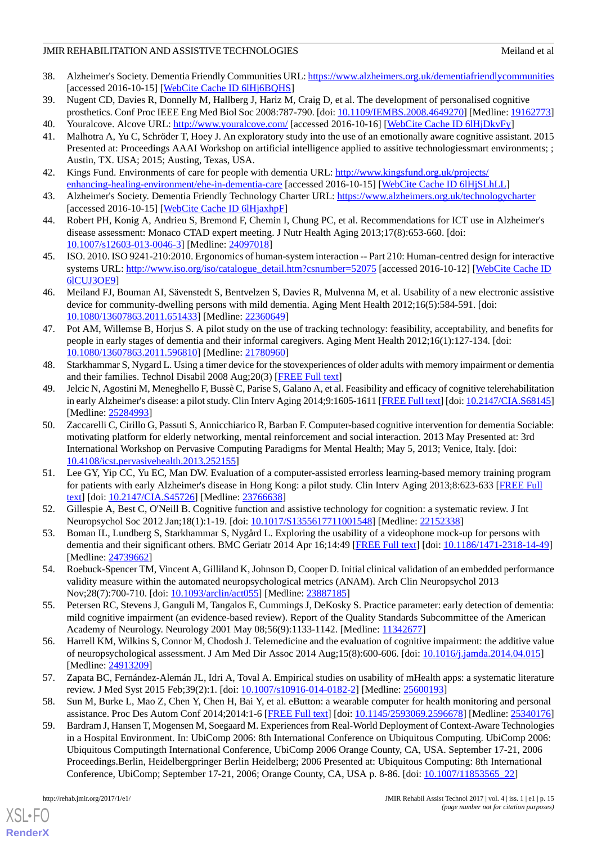- <span id="page-14-0"></span>38. Alzheimer's Society. Dementia Friendly Communities URL:<https://www.alzheimers.org.uk/dementiafriendlycommunities> [accessed 2016-10-15] [\[WebCite Cache ID 6lHj6BQHS](http://www.webcitation.org/

                                            6lHj6BQHS)]
- <span id="page-14-2"></span><span id="page-14-1"></span>39. Nugent CD, Davies R, Donnelly M, Hallberg J, Hariz M, Craig D, et al. The development of personalised cognitive prosthetics. Conf Proc IEEE Eng Med Biol Soc 2008:787-790. [doi: [10.1109/IEMBS.2008.4649270\]](http://dx.doi.org/10.1109/IEMBS.2008.4649270) [Medline: [19162773](http://www.ncbi.nlm.nih.gov/entrez/query.fcgi?cmd=Retrieve&db=PubMed&list_uids=19162773&dopt=Abstract)]
- <span id="page-14-3"></span>40. Youralcove. Alcove URL:<http://www.youralcove.com/> [accessed 2016-10-16] [\[WebCite Cache ID 6lHjDkvFy\]](http://www.webcitation.org/

                                            6lHjDkvFy)
- 41. Malhotra A, Yu C, Schröder T, Hoey J. An exploratory study into the use of an emotionally aware cognitive assistant. 2015 Presented at: Proceedings AAAI Workshop on artificial intelligence applied to assitive technologiessmart environments; ; Austin, TX. USA; 2015; Austing, Texas, USA.
- <span id="page-14-5"></span><span id="page-14-4"></span>42. Kings Fund. Environments of care for people with dementia URL: [http://www.kingsfund.org.uk/projects/](http://www.kingsfund.org.uk/projects/enhancing-healing-environment/ehe-in-dementia-care) [enhancing-healing-environment/ehe-in-dementia-care](http://www.kingsfund.org.uk/projects/enhancing-healing-environment/ehe-in-dementia-care) [accessed 2016-10-15] [[WebCite Cache ID 6lHjSLhLL](http://www.webcitation.org/

                                            6lHjSLhLL)]
- <span id="page-14-6"></span>43. Alzheimer's Society. Dementia Friendly Technology Charter URL:<https://www.alzheimers.org.uk/technologycharter> [accessed 2016-10-15] [\[WebCite Cache ID 6lHjaxhpF\]](http://www.webcitation.org/

                                            6lHjaxhpF)
- <span id="page-14-7"></span>44. Robert PH, Konig A, Andrieu S, Bremond F, Chemin I, Chung PC, et al. Recommendations for ICT use in Alzheimer's disease assessment: Monaco CTAD expert meeting. J Nutr Health Aging 2013;17(8):653-660. [doi: [10.1007/s12603-013-0046-3\]](http://dx.doi.org/10.1007/s12603-013-0046-3) [Medline: [24097018](http://www.ncbi.nlm.nih.gov/entrez/query.fcgi?cmd=Retrieve&db=PubMed&list_uids=24097018&dopt=Abstract)]
- <span id="page-14-8"></span>45. ISO. 2010. ISO 9241-210:2010. Ergonomics of human-system interaction -- Part 210: Human-centred design for interactive systems URL: [http://www.iso.org/iso/catalogue\\_detail.htm?csnumber=52075](http://www.iso.org/iso/catalogue_detail.htm?csnumber=52075) [accessed 2016-10-12] [[WebCite Cache ID](http://www.webcitation.org/

                                            6lCUJ3OE9) [6lCUJ3OE9](http://www.webcitation.org/

                                            6lCUJ3OE9)]
- <span id="page-14-9"></span>46. Meiland FJ, Bouman AI, Sävenstedt S, Bentvelzen S, Davies R, Mulvenna M, et al. Usability of a new electronic assistive device for community-dwelling persons with mild dementia. Aging Ment Health 2012;16(5):584-591. [doi: [10.1080/13607863.2011.651433\]](http://dx.doi.org/10.1080/13607863.2011.651433) [Medline: [22360649\]](http://www.ncbi.nlm.nih.gov/entrez/query.fcgi?cmd=Retrieve&db=PubMed&list_uids=22360649&dopt=Abstract)
- <span id="page-14-10"></span>47. Pot AM, Willemse B, Horjus S. A pilot study on the use of tracking technology: feasibility, acceptability, and benefits for people in early stages of dementia and their informal caregivers. Aging Ment Health 2012;16(1):127-134. [doi: [10.1080/13607863.2011.596810\]](http://dx.doi.org/10.1080/13607863.2011.596810) [Medline: [21780960\]](http://www.ncbi.nlm.nih.gov/entrez/query.fcgi?cmd=Retrieve&db=PubMed&list_uids=21780960&dopt=Abstract)
- <span id="page-14-11"></span>48. Starkhammar S, Nygard L. Using a timer device for the stovexperiences of older adults with memory impairment or dementia and their families. Technol Disabil 2008 Aug;20(3) [\[FREE Full text\]](http://content.iospress.com/articles/technology-and-disability/tad00257)
- <span id="page-14-12"></span>49. Jelcic N, Agostini M, Meneghello F, Bussè C, Parise S, Galano A, et al. Feasibility and efficacy of cognitive telerehabilitation in early Alzheimer's disease: a pilot study. Clin Interv Aging 2014;9:1605-1611 [[FREE Full text](https://dx.doi.org/10.2147/CIA.S68145)] [doi: [10.2147/CIA.S68145\]](http://dx.doi.org/10.2147/CIA.S68145) [Medline: [25284993](http://www.ncbi.nlm.nih.gov/entrez/query.fcgi?cmd=Retrieve&db=PubMed&list_uids=25284993&dopt=Abstract)]
- <span id="page-14-13"></span>50. Zaccarelli C, Cirillo G, Passuti S, Annicchiarico R, Barban F. Computer-based cognitive intervention for dementia Sociable: motivating platform for elderly networking, mental reinforcement and social interaction. 2013 May Presented at: 3rd International Workshop on Pervasive Computing Paradigms for Mental Health; May 5, 2013; Venice, Italy. [doi: [10.4108/icst.pervasivehealth.2013.252155](http://dx.doi.org/10.4108/icst.pervasivehealth.2013.252155)]
- <span id="page-14-15"></span><span id="page-14-14"></span>51. Lee GY, Yip CC, Yu EC, Man DW. Evaluation of a computer-assisted errorless learning-based memory training program for patients with early Alzheimer's disease in Hong Kong: a pilot study. Clin Interv Aging 2013;8:623-633 [\[FREE Full](https://dx.doi.org/10.2147/CIA.S45726) [text](https://dx.doi.org/10.2147/CIA.S45726)] [doi: [10.2147/CIA.S45726](http://dx.doi.org/10.2147/CIA.S45726)] [Medline: [23766638\]](http://www.ncbi.nlm.nih.gov/entrez/query.fcgi?cmd=Retrieve&db=PubMed&list_uids=23766638&dopt=Abstract)
- <span id="page-14-16"></span>52. Gillespie A, Best C, O'Neill B. Cognitive function and assistive technology for cognition: a systematic review. J Int Neuropsychol Soc 2012 Jan;18(1):1-19. [doi: [10.1017/S1355617711001548](http://dx.doi.org/10.1017/S1355617711001548)] [Medline: [22152338](http://www.ncbi.nlm.nih.gov/entrez/query.fcgi?cmd=Retrieve&db=PubMed&list_uids=22152338&dopt=Abstract)]
- <span id="page-14-17"></span>53. Boman IL, Lundberg S, Starkhammar S, Nygård L. Exploring the usability of a videophone mock-up for persons with dementia and their significant others. BMC Geriatr 2014 Apr 16;14:49 [[FREE Full text](https://bmcgeriatr.biomedcentral.com/articles/10.1186/1471-2318-14-49)] [doi: [10.1186/1471-2318-14-49\]](http://dx.doi.org/10.1186/1471-2318-14-49) [Medline: [24739662](http://www.ncbi.nlm.nih.gov/entrez/query.fcgi?cmd=Retrieve&db=PubMed&list_uids=24739662&dopt=Abstract)]
- <span id="page-14-18"></span>54. Roebuck-Spencer TM, Vincent A, Gilliland K, Johnson D, Cooper D. Initial clinical validation of an embedded performance validity measure within the automated neuropsychological metrics (ANAM). Arch Clin Neuropsychol 2013 Nov;28(7):700-710. [doi: [10.1093/arclin/act055](http://dx.doi.org/10.1093/arclin/act055)] [Medline: [23887185\]](http://www.ncbi.nlm.nih.gov/entrez/query.fcgi?cmd=Retrieve&db=PubMed&list_uids=23887185&dopt=Abstract)
- <span id="page-14-19"></span>55. Petersen RC, Stevens J, Ganguli M, Tangalos E, Cummings J, DeKosky S. Practice parameter: early detection of dementia: mild cognitive impairment (an evidence-based review). Report of the Quality Standards Subcommittee of the American Academy of Neurology. Neurology 2001 May 08;56(9):1133-1142. [Medline: [11342677](http://www.ncbi.nlm.nih.gov/entrez/query.fcgi?cmd=Retrieve&db=PubMed&list_uids=11342677&dopt=Abstract)]
- <span id="page-14-21"></span><span id="page-14-20"></span>56. Harrell KM, Wilkins S, Connor M, Chodosh J. Telemedicine and the evaluation of cognitive impairment: the additive value of neuropsychological assessment. J Am Med Dir Assoc 2014 Aug;15(8):600-606. [doi: [10.1016/j.jamda.2014.04.015](http://dx.doi.org/10.1016/j.jamda.2014.04.015)] [Medline: [24913209](http://www.ncbi.nlm.nih.gov/entrez/query.fcgi?cmd=Retrieve&db=PubMed&list_uids=24913209&dopt=Abstract)]
- 57. Zapata BC, Fernández-Alemán JL, Idri A, Toval A. Empirical studies on usability of mHealth apps: a systematic literature review. J Med Syst 2015 Feb;39(2):1. [doi: [10.1007/s10916-014-0182-2\]](http://dx.doi.org/10.1007/s10916-014-0182-2) [Medline: [25600193\]](http://www.ncbi.nlm.nih.gov/entrez/query.fcgi?cmd=Retrieve&db=PubMed&list_uids=25600193&dopt=Abstract)
- 58. Sun M, Burke L, Mao Z, Chen Y, Chen H, Bai Y, et al. eButton: a wearable computer for health monitoring and personal assistance. Proc Des Autom Conf 2014;2014:1-6 [\[FREE Full text](http://europepmc.org/abstract/MED/25340176)] [doi: [10.1145/2593069.2596678\]](http://dx.doi.org/10.1145/2593069.2596678) [Medline: [25340176](http://www.ncbi.nlm.nih.gov/entrez/query.fcgi?cmd=Retrieve&db=PubMed&list_uids=25340176&dopt=Abstract)]
- 59. Bardram J, Hansen T, Mogensen M, Soegaard M. Experiences from Real-World Deployment of Context-Aware Technologies in a Hospital Environment. In: UbiComp 2006: 8th International Conference on Ubiquitous Computing. UbiComp 2006: Ubiquitous Computingth International Conference, UbiComp 2006 Orange County, CA, USA. September 17-21, 2006 Proceedings.Berlin, Heidelbergpringer Berlin Heidelberg; 2006 Presented at: Ubiquitous Computing: 8th International Conference, UbiComp; September 17-21, 2006; Orange County, CA, USA p. 8-86. [doi: [10.1007/11853565\\_22](http://dx.doi.org/10.1007/11853565_22)]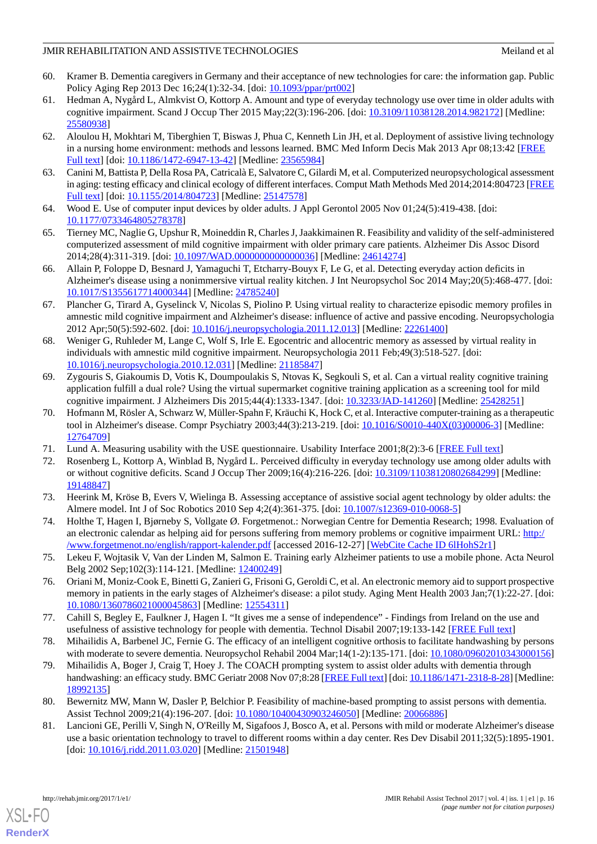- <span id="page-15-0"></span>60. Kramer B. Dementia caregivers in Germany and their acceptance of new technologies for care: the information gap. Public Policy Aging Rep 2013 Dec 16;24(1):32-34. [doi: [10.1093/ppar/prt002](http://dx.doi.org/10.1093/ppar/prt002)]
- <span id="page-15-1"></span>61. Hedman A, Nygård L, Almkvist O, Kottorp A. Amount and type of everyday technology use over time in older adults with cognitive impairment. Scand J Occup Ther 2015 May;22(3):196-206. [doi: [10.3109/11038128.2014.982172](http://dx.doi.org/10.3109/11038128.2014.982172)] [Medline: [25580938](http://www.ncbi.nlm.nih.gov/entrez/query.fcgi?cmd=Retrieve&db=PubMed&list_uids=25580938&dopt=Abstract)]
- <span id="page-15-2"></span>62. Aloulou H, Mokhtari M, Tiberghien T, Biswas J, Phua C, Kenneth Lin JH, et al. Deployment of assistive living technology in a nursing home environment: methods and lessons learned. BMC Med Inform Decis Mak 2013 Apr 08;13:42 [\[FREE](https://bmcmedinformdecismak.biomedcentral.com/articles/10.1186/1472-6947-13-42) [Full text\]](https://bmcmedinformdecismak.biomedcentral.com/articles/10.1186/1472-6947-13-42) [doi: [10.1186/1472-6947-13-42](http://dx.doi.org/10.1186/1472-6947-13-42)] [Medline: [23565984](http://www.ncbi.nlm.nih.gov/entrez/query.fcgi?cmd=Retrieve&db=PubMed&list_uids=23565984&dopt=Abstract)]
- <span id="page-15-4"></span><span id="page-15-3"></span>63. Canini M, Battista P, Della Rosa PA, Catricalà E, Salvatore C, Gilardi M, et al. Computerized neuropsychological assessment in aging: testing efficacy and clinical ecology of different interfaces. Comput Math Methods Med 2014;2014:804723 [\[FREE](https://dx.doi.org/10.1155/2014/804723) [Full text\]](https://dx.doi.org/10.1155/2014/804723) [doi: [10.1155/2014/804723](http://dx.doi.org/10.1155/2014/804723)] [Medline: [25147578](http://www.ncbi.nlm.nih.gov/entrez/query.fcgi?cmd=Retrieve&db=PubMed&list_uids=25147578&dopt=Abstract)]
- <span id="page-15-5"></span>64. Wood E. Use of computer input devices by older adults. J Appl Gerontol 2005 Nov 01;24(5):419-438. [doi: [10.1177/0733464805278378\]](http://dx.doi.org/10.1177/0733464805278378)
- <span id="page-15-6"></span>65. Tierney MC, Naglie G, Upshur R, Moineddin R, Charles J, Jaakkimainen R. Feasibility and validity of the self-administered computerized assessment of mild cognitive impairment with older primary care patients. Alzheimer Dis Assoc Disord 2014;28(4):311-319. [doi: [10.1097/WAD.0000000000000036\]](http://dx.doi.org/10.1097/WAD.0000000000000036) [Medline: [24614274\]](http://www.ncbi.nlm.nih.gov/entrez/query.fcgi?cmd=Retrieve&db=PubMed&list_uids=24614274&dopt=Abstract)
- 66. Allain P, Foloppe D, Besnard J, Yamaguchi T, Etcharry-Bouyx F, Le G, et al. Detecting everyday action deficits in Alzheimer's disease using a nonimmersive virtual reality kitchen. J Int Neuropsychol Soc 2014 May;20(5):468-477. [doi: [10.1017/S1355617714000344](http://dx.doi.org/10.1017/S1355617714000344)] [Medline: [24785240](http://www.ncbi.nlm.nih.gov/entrez/query.fcgi?cmd=Retrieve&db=PubMed&list_uids=24785240&dopt=Abstract)]
- 67. Plancher G, Tirard A, Gyselinck V, Nicolas S, Piolino P. Using virtual reality to characterize episodic memory profiles in amnestic mild cognitive impairment and Alzheimer's disease: influence of active and passive encoding. Neuropsychologia 2012 Apr;50(5):592-602. [doi: [10.1016/j.neuropsychologia.2011.12.013\]](http://dx.doi.org/10.1016/j.neuropsychologia.2011.12.013) [Medline: [22261400](http://www.ncbi.nlm.nih.gov/entrez/query.fcgi?cmd=Retrieve&db=PubMed&list_uids=22261400&dopt=Abstract)]
- <span id="page-15-7"></span>68. Weniger G, Ruhleder M, Lange C, Wolf S, Irle E. Egocentric and allocentric memory as assessed by virtual reality in individuals with amnestic mild cognitive impairment. Neuropsychologia 2011 Feb;49(3):518-527. [doi: [10.1016/j.neuropsychologia.2010.12.031\]](http://dx.doi.org/10.1016/j.neuropsychologia.2010.12.031) [Medline: [21185847](http://www.ncbi.nlm.nih.gov/entrez/query.fcgi?cmd=Retrieve&db=PubMed&list_uids=21185847&dopt=Abstract)]
- <span id="page-15-8"></span>69. Zygouris S, Giakoumis D, Votis K, Doumpoulakis S, Ntovas K, Segkouli S, et al. Can a virtual reality cognitive training application fulfill a dual role? Using the virtual supermarket cognitive training application as a screening tool for mild cognitive impairment. J Alzheimers Dis 2015;44(4):1333-1347. [doi: [10.3233/JAD-141260\]](http://dx.doi.org/10.3233/JAD-141260) [Medline: [25428251](http://www.ncbi.nlm.nih.gov/entrez/query.fcgi?cmd=Retrieve&db=PubMed&list_uids=25428251&dopt=Abstract)]
- <span id="page-15-10"></span><span id="page-15-9"></span>70. Hofmann M, Rösler A, Schwarz W, Müller-Spahn F, Kräuchi K, Hock C, et al. Interactive computer-training as a therapeutic tool in Alzheimer's disease. Compr Psychiatry 2003;44(3):213-219. [doi: [10.1016/S0010-440X\(03\)00006-3\]](http://dx.doi.org/10.1016/S0010-440X(03)00006-3) [Medline: [12764709](http://www.ncbi.nlm.nih.gov/entrez/query.fcgi?cmd=Retrieve&db=PubMed&list_uids=12764709&dopt=Abstract)]
- <span id="page-15-11"></span>71. Lund A. Measuring usability with the USE questionnaire. Usability Interface 2001;8(2):3-6 [\[FREE Full text\]](http://www.stcsig.org/usability/newsletter/index.html)
- <span id="page-15-12"></span>72. Rosenberg L, Kottorp A, Winblad B, Nygård L. Perceived difficulty in everyday technology use among older adults with or without cognitive deficits. Scand J Occup Ther 2009;16(4):216-226. [doi: [10.3109/11038120802684299](http://dx.doi.org/10.3109/11038120802684299)] [Medline: [19148847](http://www.ncbi.nlm.nih.gov/entrez/query.fcgi?cmd=Retrieve&db=PubMed&list_uids=19148847&dopt=Abstract)]
- <span id="page-15-13"></span>73. Heerink M, Kröse B, Evers V, Wielinga B. Assessing acceptance of assistive social agent technology by older adults: the Almere model. Int J of Soc Robotics 2010 Sep 4;2(4):361-375. [doi: [10.1007/s12369-010-0068-5](http://dx.doi.org/10.1007/s12369-010-0068-5)]
- <span id="page-15-14"></span>74. Holthe T, Hagen I, Bjørneby S, Vollgate Ø. Forgetmenot.: Norwegian Centre for Dementia Research; 1998. Evaluation of an electronic calendar as helping aid for persons suffering from memory problems or cognitive impairment URL: [http:/](http://www.forgetmenot.no/english/rapport-kalender.pdf) [/www.forgetmenot.no/english/rapport-kalender.pdf](http://www.forgetmenot.no/english/rapport-kalender.pdf) [accessed 2016-12-27] [[WebCite Cache ID 6lHohS2r1](http://www.webcitation.org/

                                            6lHohS2r1)]
- <span id="page-15-15"></span>75. Lekeu F, Wojtasik V, Van der Linden M, Salmon E. Training early Alzheimer patients to use a mobile phone. Acta Neurol Belg 2002 Sep;102(3):114-121. [Medline: [12400249\]](http://www.ncbi.nlm.nih.gov/entrez/query.fcgi?cmd=Retrieve&db=PubMed&list_uids=12400249&dopt=Abstract)
- 76. Oriani M, Moniz-Cook E, Binetti G, Zanieri G, Frisoni G, Geroldi C, et al. An electronic memory aid to support prospective memory in patients in the early stages of Alzheimer's disease: a pilot study. Aging Ment Health 2003 Jan;7(1):22-27. [doi: [10.1080/1360786021000045863\]](http://dx.doi.org/10.1080/1360786021000045863) [Medline: [12554311\]](http://www.ncbi.nlm.nih.gov/entrez/query.fcgi?cmd=Retrieve&db=PubMed&list_uids=12554311&dopt=Abstract)
- 77. Cahill S, Begley E, Faulkner J, Hagen I. "It gives me a sense of independence" Findings from Ireland on the use and usefulness of assistive technology for people with dementia. Technol Disabil 2007;19:133-142 [\[FREE Full text\]](http://hdl.handle.net/2262/49836)
- <span id="page-15-16"></span>78. Mihailidis A, Barbenel JC, Fernie G. The efficacy of an intelligent cognitive orthosis to facilitate handwashing by persons with moderate to severe dementia. Neuropsychol Rehabil 2004 Mar;14(1-2):135-171. [doi: [10.1080/09602010343000156](http://dx.doi.org/10.1080/09602010343000156)]
- <span id="page-15-17"></span>79. Mihailidis A, Boger J, Craig T, Hoey J. The COACH prompting system to assist older adults with dementia through handwashing: an efficacy study. BMC Geriatr 2008 Nov 07;8:28 [[FREE Full text\]](https://bmcgeriatr.biomedcentral.com/articles/10.1186/1471-2318-8-28) [doi: [10.1186/1471-2318-8-28](http://dx.doi.org/10.1186/1471-2318-8-28)] [Medline: [18992135](http://www.ncbi.nlm.nih.gov/entrez/query.fcgi?cmd=Retrieve&db=PubMed&list_uids=18992135&dopt=Abstract)]
- 80. Bewernitz MW, Mann W, Dasler P, Belchior P. Feasibility of machine-based prompting to assist persons with dementia. Assist Technol 2009;21(4):196-207. [doi: [10.1080/10400430903246050](http://dx.doi.org/10.1080/10400430903246050)] [Medline: [20066886](http://www.ncbi.nlm.nih.gov/entrez/query.fcgi?cmd=Retrieve&db=PubMed&list_uids=20066886&dopt=Abstract)]
- 81. Lancioni GE, Perilli V, Singh N, O'Reilly M, Sigafoos J, Bosco A, et al. Persons with mild or moderate Alzheimer's disease use a basic orientation technology to travel to different rooms within a day center. Res Dev Disabil 2011;32(5):1895-1901. [doi: [10.1016/j.ridd.2011.03.020](http://dx.doi.org/10.1016/j.ridd.2011.03.020)] [Medline: [21501948\]](http://www.ncbi.nlm.nih.gov/entrez/query.fcgi?cmd=Retrieve&db=PubMed&list_uids=21501948&dopt=Abstract)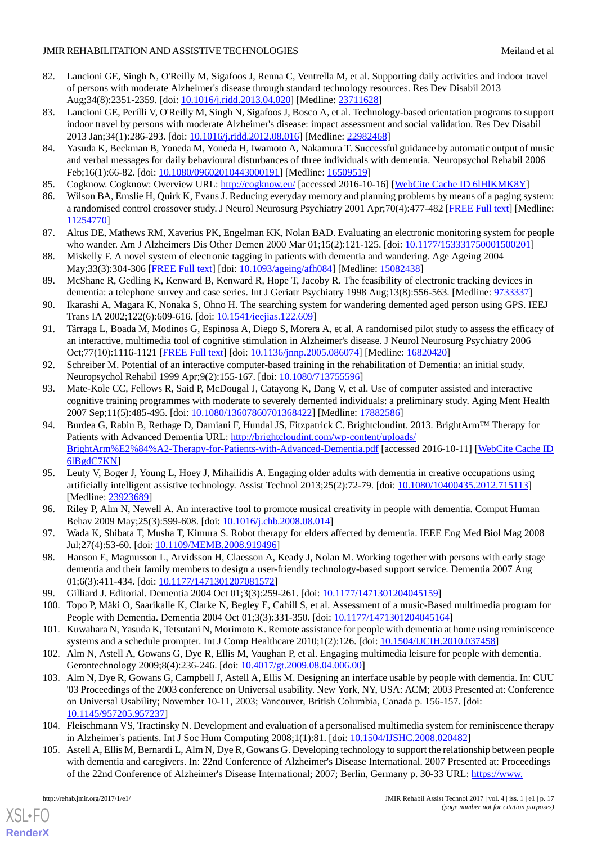- 82. Lancioni GE, Singh N, O'Reilly M, Sigafoos J, Renna C, Ventrella M, et al. Supporting daily activities and indoor travel of persons with moderate Alzheimer's disease through standard technology resources. Res Dev Disabil 2013 Aug;34(8):2351-2359. [doi: [10.1016/j.ridd.2013.04.020\]](http://dx.doi.org/10.1016/j.ridd.2013.04.020) [Medline: [23711628\]](http://www.ncbi.nlm.nih.gov/entrez/query.fcgi?cmd=Retrieve&db=PubMed&list_uids=23711628&dopt=Abstract)
- 83. Lancioni GE, Perilli V, O'Reilly M, Singh N, Sigafoos J, Bosco A, et al. Technology-based orientation programs to support indoor travel by persons with moderate Alzheimer's disease: impact assessment and social validation. Res Dev Disabil 2013 Jan;34(1):286-293. [doi: [10.1016/j.ridd.2012.08.016](http://dx.doi.org/10.1016/j.ridd.2012.08.016)] [Medline: [22982468](http://www.ncbi.nlm.nih.gov/entrez/query.fcgi?cmd=Retrieve&db=PubMed&list_uids=22982468&dopt=Abstract)]
- <span id="page-16-0"></span>84. Yasuda K, Beckman B, Yoneda M, Yoneda H, Iwamoto A, Nakamura T. Successful guidance by automatic output of music and verbal messages for daily behavioural disturbances of three individuals with dementia. Neuropsychol Rehabil 2006 Feb;16(1):66-82. [doi: [10.1080/09602010443000191\]](http://dx.doi.org/10.1080/09602010443000191) [Medline: [16509519](http://www.ncbi.nlm.nih.gov/entrez/query.fcgi?cmd=Retrieve&db=PubMed&list_uids=16509519&dopt=Abstract)]
- <span id="page-16-2"></span><span id="page-16-1"></span>85. Cogknow. Cogknow: Overview URL:<http://cogknow.eu/> [accessed 2016-10-16] [WebCite Cache ID 6IHIKMK8Y]
- <span id="page-16-3"></span>86. Wilson BA, Emslie H, Quirk K, Evans J. Reducing everyday memory and planning problems by means of a paging system: a randomised control crossover study. J Neurol Neurosurg Psychiatry 2001 Apr;70(4):477-482 [[FREE Full text\]](http://jnnp.bmj.com/cgi/pmidlookup?view=long&pmid=11254770) [Medline: [11254770](http://www.ncbi.nlm.nih.gov/entrez/query.fcgi?cmd=Retrieve&db=PubMed&list_uids=11254770&dopt=Abstract)]
- <span id="page-16-4"></span>87. Altus DE, Mathews RM, Xaverius PK, Engelman KK, Nolan BAD. Evaluating an electronic monitoring system for people who wander. Am J Alzheimers Dis Other Demen 2000 Mar 01;15(2):121-125. [doi: [10.1177/153331750001500201](http://dx.doi.org/10.1177/153331750001500201)]
- <span id="page-16-5"></span>88. Miskelly F. A novel system of electronic tagging in patients with dementia and wandering. Age Ageing 2004 May;33(3):304-306 [\[FREE Full text\]](http://ageing.oxfordjournals.org/cgi/pmidlookup?view=long&pmid=15082438) [doi: [10.1093/ageing/afh084](http://dx.doi.org/10.1093/ageing/afh084)] [Medline: [15082438](http://www.ncbi.nlm.nih.gov/entrez/query.fcgi?cmd=Retrieve&db=PubMed&list_uids=15082438&dopt=Abstract)]
- <span id="page-16-6"></span>89. McShane R, Gedling K, Kenward B, Kenward R, Hope T, Jacoby R. The feasibility of electronic tracking devices in dementia: a telephone survey and case series. Int J Geriatr Psychiatry 1998 Aug;13(8):556-563. [Medline: [9733337\]](http://www.ncbi.nlm.nih.gov/entrez/query.fcgi?cmd=Retrieve&db=PubMed&list_uids=9733337&dopt=Abstract)
- <span id="page-16-7"></span>90. Ikarashi A, Magara K, Nonaka S, Ohno H. The searching system for wandering demented aged person using GPS. IEEJ Trans IA 2002;122(6):609-616. [doi: [10.1541/ieejias.122.609](http://dx.doi.org/10.1541/ieejias.122.609)]
- <span id="page-16-8"></span>91. Tárraga L, Boada M, Modinos G, Espinosa A, Diego S, Morera A, et al. A randomised pilot study to assess the efficacy of an interactive, multimedia tool of cognitive stimulation in Alzheimer's disease. J Neurol Neurosurg Psychiatry 2006 Oct;77(10):1116-1121 [\[FREE Full text\]](http://europepmc.org/abstract/MED/16820420) [doi: [10.1136/jnnp.2005.086074](http://dx.doi.org/10.1136/jnnp.2005.086074)] [Medline: [16820420\]](http://www.ncbi.nlm.nih.gov/entrez/query.fcgi?cmd=Retrieve&db=PubMed&list_uids=16820420&dopt=Abstract)
- <span id="page-16-9"></span>92. Schreiber M. Potential of an interactive computer-based training in the rehabilitation of Dementia: an initial study. Neuropsychol Rehabil 1999 Apr;9(2):155-167. [doi: [10.1080/713755596](http://dx.doi.org/10.1080/713755596)]
- <span id="page-16-10"></span>93. Mate-Kole CC, Fellows R, Said P, McDougal J, Catayong K, Dang V, et al. Use of computer assisted and interactive cognitive training programmes with moderate to severely demented individuals: a preliminary study. Aging Ment Health 2007 Sep;11(5):485-495. [doi: [10.1080/13607860701368422](http://dx.doi.org/10.1080/13607860701368422)] [Medline: [17882586](http://www.ncbi.nlm.nih.gov/entrez/query.fcgi?cmd=Retrieve&db=PubMed&list_uids=17882586&dopt=Abstract)]
- <span id="page-16-11"></span>94. Burdea G, Rabin B, Rethage D, Damiani F, Hundal JS, Fitzpatrick C. Brightcloudint. 2013. BrightArm™ Therapy for Patients with Advanced Dementia URL: [http://brightcloudint.com/wp-content/uploads/](http://brightcloudint.com/wp-content/uploads/BrightArm%E2%84%A2-Therapy-for-Patients-with-Advanced-Dementia.pdf) [BrightArm%E2%84%A2-Therapy-for-Patients-with-Advanced-Dementia.pdf](http://brightcloudint.com/wp-content/uploads/BrightArm%E2%84%A2-Therapy-for-Patients-with-Advanced-Dementia.pdf) [accessed 2016-10-11] [[WebCite Cache ID](http://www.webcitation.org/

                                            6lBgdC7KN) [6lBgdC7KN](http://www.webcitation.org/

                                            6lBgdC7KN)]
- <span id="page-16-13"></span><span id="page-16-12"></span>95. Leuty V, Boger J, Young L, Hoey J, Mihailidis A. Engaging older adults with dementia in creative occupations using artificially intelligent assistive technology. Assist Technol 2013;25(2):72-79. [doi: [10.1080/10400435.2012.715113](http://dx.doi.org/10.1080/10400435.2012.715113)] [Medline: [23923689](http://www.ncbi.nlm.nih.gov/entrez/query.fcgi?cmd=Retrieve&db=PubMed&list_uids=23923689&dopt=Abstract)]
- <span id="page-16-14"></span>96. Riley P, Alm N, Newell A. An interactive tool to promote musical creativity in people with dementia. Comput Human Behav 2009 May;25(3):599-608. [doi: [10.1016/j.chb.2008.08.014](http://dx.doi.org/10.1016/j.chb.2008.08.014)]
- <span id="page-16-15"></span>97. Wada K, Shibata T, Musha T, Kimura S. Robot therapy for elders affected by dementia. IEEE Eng Med Biol Mag 2008 Jul;27(4):53-60. [doi: [10.1109/MEMB.2008.919496\]](http://dx.doi.org/10.1109/MEMB.2008.919496)
- <span id="page-16-17"></span><span id="page-16-16"></span>98. Hanson E, Magnusson L, Arvidsson H, Claesson A, Keady J, Nolan M. Working together with persons with early stage dementia and their family members to design a user-friendly technology-based support service. Dementia 2007 Aug 01;6(3):411-434. [doi: [10.1177/1471301207081572\]](http://dx.doi.org/10.1177/1471301207081572)
- <span id="page-16-18"></span>99. Gilliard J. Editorial. Dementia 2004 Oct 01;3(3):259-261. [doi: [10.1177/1471301204045159](http://dx.doi.org/10.1177/1471301204045159)]
- 100. Topo P, Mäki O, Saarikalle K, Clarke N, Begley E, Cahill S, et al. Assessment of a music-Based multimedia program for People with Dementia. Dementia 2004 Oct 01;3(3):331-350. [doi: [10.1177/1471301204045164](http://dx.doi.org/10.1177/1471301204045164)]
- 101. Kuwahara N, Yasuda K, Tetsutani N, Morimoto K. Remote assistance for people with dementia at home using reminiscence systems and a schedule prompter. Int J Comp Healthcare 2010;1(2):126. [doi: [10.1504/IJCIH.2010.037458](http://dx.doi.org/10.1504/IJCIH.2010.037458)]
- 102. Alm N, Astell A, Gowans G, Dye R, Ellis M, Vaughan P, et al. Engaging multimedia leisure for people with dementia. Gerontechnology 2009;8(4):236-246. [doi: [10.4017/gt.2009.08.04.006.00\]](http://dx.doi.org/10.4017/gt.2009.08.04.006.00)
- 103. Alm N, Dye R, Gowans G, Campbell J, Astell A, Ellis M. Designing an interface usable by people with dementia. In: CUU '03 Proceedings of the 2003 conference on Universal usability. New York, NY, USA: ACM; 2003 Presented at: Conference on Universal Usability; November 10-11, 2003; Vancouver, British Columbia, Canada p. 156-157. [doi: [10.1145/957205.957237](http://dx.doi.org/10.1145/957205.957237)]
- 104. Fleischmann VS, Tractinsky N. Development and evaluation of a personalised multimedia system for reminiscence therapy in Alzheimer's patients. Int J Soc Hum Computing 2008;1(1):81. [doi: [10.1504/IJSHC.2008.020482](http://dx.doi.org/10.1504/IJSHC.2008.020482)]
- 105. Astell A, Ellis M, Bernardi L, Alm N, Dye R, Gowans G. Developing technology to support the relationship between people with dementia and caregivers. In: 22nd Conference of Alzheimer's Disease International. 2007 Presented at: Proceedings of the 22nd Conference of Alzheimer's Disease International; 2007; Berlin, Germany p. 30-33 URL: [https://www.](https://www.researchgate.net/profile/Arlene_Astell/publication/265192971_Developing_Technology_to_Support_the_Relationship_between_People_with_Dementia_and_Caregivers/links/548207a30cf2f5dd63a8961a.pdf)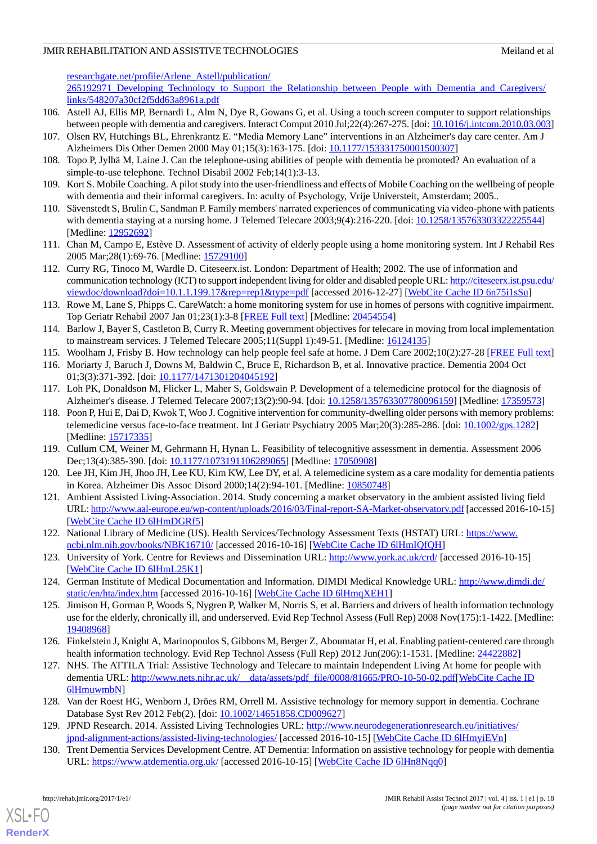[researchgate.net/profile/Arlene\\_Astell/publication/](https://www.researchgate.net/profile/Arlene_Astell/publication/265192971_Developing_Technology_to_Support_the_Relationship_between_People_with_Dementia_and_Caregivers/links/548207a30cf2f5dd63a8961a.pdf)

[265192971\\_Developing\\_Technology\\_to\\_Support\\_the\\_Relationship\\_between\\_People\\_with\\_Dementia\\_and\\_Caregivers/](https://www.researchgate.net/profile/Arlene_Astell/publication/265192971_Developing_Technology_to_Support_the_Relationship_between_People_with_Dementia_and_Caregivers/links/548207a30cf2f5dd63a8961a.pdf) [links/548207a30cf2f5dd63a8961a.pdf](https://www.researchgate.net/profile/Arlene_Astell/publication/265192971_Developing_Technology_to_Support_the_Relationship_between_People_with_Dementia_and_Caregivers/links/548207a30cf2f5dd63a8961a.pdf)

- <span id="page-17-0"></span>106. Astell AJ, Ellis MP, Bernardi L, Alm N, Dye R, Gowans G, et al. Using a touch screen computer to support relationships between people with dementia and caregivers. Interact Comput 2010 Jul;22(4):267-275. [doi: [10.1016/j.intcom.2010.03.003](http://dx.doi.org/10.1016/j.intcom.2010.03.003)]
- <span id="page-17-1"></span>107. Olsen RV, Hutchings BL, Ehrenkrantz E. "Media Memory Lane" interventions in an Alzheimer's day care center. Am J Alzheimers Dis Other Demen 2000 May 01;15(3):163-175. [doi: [10.1177/153331750001500307\]](http://dx.doi.org/10.1177/153331750001500307)
- 108. Topo P, Jylhä M, Laine J. Can the telephone-using abilities of people with dementia be promoted? An evaluation of a simple-to-use telephone. Technol Disabil 2002 Feb;14(1):3-13.
- <span id="page-17-2"></span>109. Kort S. Mobile Coaching. A pilot study into the user-friendliness and effects of Mobile Coaching on the wellbeing of people with dementia and their informal caregivers. In: aculty of Psychology, Vrije Universteit, Amsterdam; 2005..
- <span id="page-17-3"></span>110. Sävenstedt S, Brulin C, Sandman P. Family members' narrated experiences of communicating via video-phone with patients with dementia staying at a nursing home. J Telemed Telecare 2003;9(4):216-220. [doi: [10.1258/135763303322225544](http://dx.doi.org/10.1258/135763303322225544)] [Medline: [12952692](http://www.ncbi.nlm.nih.gov/entrez/query.fcgi?cmd=Retrieve&db=PubMed&list_uids=12952692&dopt=Abstract)]
- <span id="page-17-4"></span>111. Chan M, Campo E, Estève D. Assessment of activity of elderly people using a home monitoring system. Int J Rehabil Res 2005 Mar;28(1):69-76. [Medline: [15729100](http://www.ncbi.nlm.nih.gov/entrez/query.fcgi?cmd=Retrieve&db=PubMed&list_uids=15729100&dopt=Abstract)]
- <span id="page-17-5"></span>112. Curry RG, Tinoco M, Wardle D. Citeseerx.ist. London: Department of Health; 2002. The use of information and communication technology (ICT) to support independent living for older and disabled people URL: [http://citeseerx.ist.psu.edu/](http://citeseerx.ist.psu.edu/viewdoc/download?doi=10.1.1.199.17&rep=rep1&type=pdf) [viewdoc/download?doi=10.1.1.199.17&rep=rep1&type=pdf](http://citeseerx.ist.psu.edu/viewdoc/download?doi=10.1.1.199.17&rep=rep1&type=pdf) [accessed 2016-12-27] [\[WebCite Cache ID 6n75i1sSu](http://www.webcitation.org/

                                            6n75i1sSu)]
- <span id="page-17-6"></span>113. Rowe M, Lane S, Phipps C. CareWatch: a home monitoring system for use in homes of persons with cognitive impairment. Top Geriatr Rehabil 2007 Jan 01;23(1):3-8 [[FREE Full text\]](http://europepmc.org/abstract/MED/20454554) [Medline: [20454554\]](http://www.ncbi.nlm.nih.gov/entrez/query.fcgi?cmd=Retrieve&db=PubMed&list_uids=20454554&dopt=Abstract)
- <span id="page-17-8"></span><span id="page-17-7"></span>114. Barlow J, Bayer S, Castleton B, Curry R. Meeting government objectives for telecare in moving from local implementation to mainstream services. J Telemed Telecare 2005;11(Suppl 1):49-51. [Medline: [16124135\]](http://www.ncbi.nlm.nih.gov/entrez/query.fcgi?cmd=Retrieve&db=PubMed&list_uids=16124135&dopt=Abstract)
- <span id="page-17-9"></span>115. Woolham J, Frisby B. How technology can help people feel safe at home. J Dem Care 2002;10(2):27-28 [\[FREE Full text](http://www.careinfo.org/2002/03/)]
- 116. Moriarty J, Baruch J, Downs M, Baldwin C, Bruce E, Richardson B, et al. Innovative practice. Dementia 2004 Oct 01;3(3):371-392. [doi: [10.1177/1471301204045192\]](http://dx.doi.org/10.1177/1471301204045192)
- 117. Loh PK, Donaldson M, Flicker L, Maher S, Goldswain P. Development of a telemedicine protocol for the diagnosis of Alzheimer's disease. J Telemed Telecare 2007;13(2):90-94. [doi: [10.1258/135763307780096159](http://dx.doi.org/10.1258/135763307780096159)] [Medline: [17359573](http://www.ncbi.nlm.nih.gov/entrez/query.fcgi?cmd=Retrieve&db=PubMed&list_uids=17359573&dopt=Abstract)]
- <span id="page-17-11"></span><span id="page-17-10"></span>118. Poon P, Hui E, Dai D, Kwok T, Woo J. Cognitive intervention for community-dwelling older persons with memory problems: telemedicine versus face-to-face treatment. Int J Geriatr Psychiatry 2005 Mar;20(3):285-286. [doi: [10.1002/gps.1282](http://dx.doi.org/10.1002/gps.1282)] [Medline: [15717335](http://www.ncbi.nlm.nih.gov/entrez/query.fcgi?cmd=Retrieve&db=PubMed&list_uids=15717335&dopt=Abstract)]
- <span id="page-17-12"></span>119. Cullum CM, Weiner M, Gehrmann H, Hynan L. Feasibility of telecognitive assessment in dementia. Assessment 2006 Dec;13(4):385-390. [doi: [10.1177/1073191106289065\]](http://dx.doi.org/10.1177/1073191106289065) [Medline: [17050908\]](http://www.ncbi.nlm.nih.gov/entrez/query.fcgi?cmd=Retrieve&db=PubMed&list_uids=17050908&dopt=Abstract)
- <span id="page-17-13"></span>120. Lee JH, Kim JH, Jhoo JH, Lee KU, Kim KW, Lee DY, et al. A telemedicine system as a care modality for dementia patients in Korea. Alzheimer Dis Assoc Disord 2000;14(2):94-101. [Medline: [10850748](http://www.ncbi.nlm.nih.gov/entrez/query.fcgi?cmd=Retrieve&db=PubMed&list_uids=10850748&dopt=Abstract)]
- <span id="page-17-14"></span>121. Ambient Assisted Living-Association. 2014. Study concerning a market observatory in the ambient assisted living field URL:<http://www.aal-europe.eu/wp-content/uploads/2016/03/Final-report-SA-Market-observatory.pdf> [accessed 2016-10-15] [[WebCite Cache ID 6lHmDGRf5\]](http://www.webcitation.org/

                                            6lHmDGRf5)
- <span id="page-17-15"></span>122. National Library of Medicine (US). Health Services/Technology Assessment Texts (HSTAT) URL: [https://www.](https://www.ncbi.nlm.nih.gov/books/NBK16710/) [ncbi.nlm.nih.gov/books/NBK16710/](https://www.ncbi.nlm.nih.gov/books/NBK16710/) [accessed 2016-10-16] [[WebCite Cache ID 6lHmIQfQH\]](http://www.webcitation.org/

                                            6lHmIQfQH)
- <span id="page-17-16"></span>123. University of York. Centre for Reviews and Dissemination URL:<http://www.york.ac.uk/crd/> [accessed 2016-10-15] [[WebCite Cache ID 6lHmL25K1\]](http://www.webcitation.org/

                                            6lHmL25K1)
- <span id="page-17-17"></span>124. German Institute of Medical Documentation and Information. DIMDI Medical Knowledge URL: [http://www.dimdi.de/](http://www.dimdi.de/static/en/hta/index.htm) [static/en/hta/index.htm](http://www.dimdi.de/static/en/hta/index.htm) [accessed 2016-10-16] [[WebCite Cache ID 6lHmqXEH1](http://www.webcitation.org/

                                            6lHmqXEH1)]
- <span id="page-17-18"></span>125. Jimison H, Gorman P, Woods S, Nygren P, Walker M, Norris S, et al. Barriers and drivers of health information technology use for the elderly, chronically ill, and underserved. Evid Rep Technol Assess (Full Rep) 2008 Nov(175):1-1422. [Medline: [19408968](http://www.ncbi.nlm.nih.gov/entrez/query.fcgi?cmd=Retrieve&db=PubMed&list_uids=19408968&dopt=Abstract)]
- <span id="page-17-19"></span>126. Finkelstein J, Knight A, Marinopoulos S, Gibbons M, Berger Z, Aboumatar H, et al. Enabling patient-centered care through health information technology. Evid Rep Technol Assess (Full Rep) 2012 Jun(206):1-1531. [Medline: [24422882](http://www.ncbi.nlm.nih.gov/entrez/query.fcgi?cmd=Retrieve&db=PubMed&list_uids=24422882&dopt=Abstract)]
- <span id="page-17-21"></span><span id="page-17-20"></span>127. NHS. The ATTILA Trial: Assistive Technology and Telecare to maintain Independent Living At home for people with dementia URL: [http://www.nets.nihr.ac.uk/\\_\\_data/assets/pdf\\_file/0008/81665/PRO-10-50-02.pdf](http://www.nets.nihr.ac.uk/__data/assets/pdf_file/0008/81665/PRO-10-50-02.pdf)[[WebCite Cache ID](http://www.webcitation.org/

                                            6lHmuwmbN) [6lHmuwmbN\]](http://www.webcitation.org/

                                            6lHmuwmbN)
- 128. Van der Roest HG, Wenborn J, Dröes RM, Orrell M. Assistive technology for memory support in dementia. Cochrane Database Syst Rev 2012 Feb(2). [doi: [10.1002/14651858.CD009627\]](http://dx.doi.org/10.1002/14651858.CD009627)
- 129. JPND Research. 2014. Assisted Living Technologies URL: [http://www.neurodegenerationresearch.eu/initiatives/](http://www.neurodegenerationresearch.eu/initiatives/jpnd-alignment-actions/assisted-living-technologies/) [jpnd-alignment-actions/assisted-living-technologies/](http://www.neurodegenerationresearch.eu/initiatives/jpnd-alignment-actions/assisted-living-technologies/) [accessed 2016-10-15] [\[WebCite Cache ID 6lHmyiEVn](http://www.webcitation.org/

                                            6lHmyiEVn)]
- 130. Trent Dementia Services Development Centre. AT Dementia: Information on assistive technology for people with dementia URL: <https://www.atdementia.org.uk/> [accessed 2016-10-15] [\[WebCite Cache ID 6lHn8Nqq0](http://www.webcitation.org/

                                            6lHn8Nqq0)]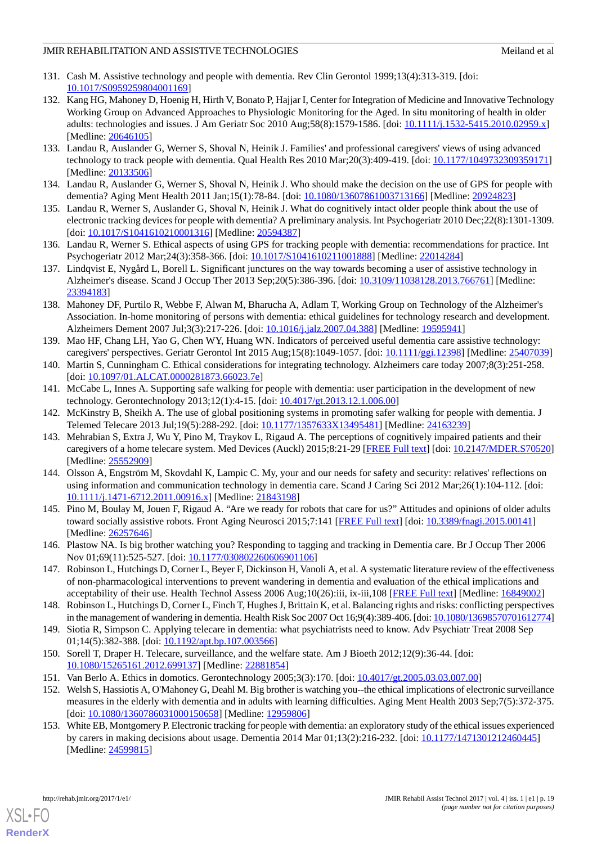- <span id="page-18-0"></span>131. Cash M. Assistive technology and people with dementia. Rev Clin Gerontol 1999;13(4):313-319. [doi: [10.1017/S0959259804001169](http://dx.doi.org/10.1017/S0959259804001169)]
- <span id="page-18-1"></span>132. Kang HG, Mahoney D, Hoenig H, Hirth V, Bonato P, Hajjar I, Center for Integration of Medicine and Innovative Technology Working Group on Advanced Approaches to Physiologic Monitoring for the Aged. In situ monitoring of health in older adults: technologies and issues. J Am Geriatr Soc 2010 Aug;58(8):1579-1586. [doi: [10.1111/j.1532-5415.2010.02959.x\]](http://dx.doi.org/10.1111/j.1532-5415.2010.02959.x) [Medline: [20646105](http://www.ncbi.nlm.nih.gov/entrez/query.fcgi?cmd=Retrieve&db=PubMed&list_uids=20646105&dopt=Abstract)]
- <span id="page-18-2"></span>133. Landau R, Auslander G, Werner S, Shoval N, Heinik J. Families' and professional caregivers' views of using advanced technology to track people with dementia. Qual Health Res 2010 Mar;20(3):409-419. [doi: [10.1177/1049732309359171](http://dx.doi.org/10.1177/1049732309359171)] [Medline: [20133506](http://www.ncbi.nlm.nih.gov/entrez/query.fcgi?cmd=Retrieve&db=PubMed&list_uids=20133506&dopt=Abstract)]
- <span id="page-18-4"></span><span id="page-18-3"></span>134. Landau R, Auslander G, Werner S, Shoval N, Heinik J. Who should make the decision on the use of GPS for people with dementia? Aging Ment Health 2011 Jan;15(1):78-84. [doi: [10.1080/13607861003713166](http://dx.doi.org/10.1080/13607861003713166)] [Medline: [20924823](http://www.ncbi.nlm.nih.gov/entrez/query.fcgi?cmd=Retrieve&db=PubMed&list_uids=20924823&dopt=Abstract)]
- <span id="page-18-5"></span>135. Landau R, Werner S, Auslander G, Shoval N, Heinik J. What do cognitively intact older people think about the use of electronic tracking devices for people with dementia? A preliminary analysis. Int Psychogeriatr 2010 Dec;22(8):1301-1309. [doi: [10.1017/S1041610210001316\]](http://dx.doi.org/10.1017/S1041610210001316) [Medline: [20594387](http://www.ncbi.nlm.nih.gov/entrez/query.fcgi?cmd=Retrieve&db=PubMed&list_uids=20594387&dopt=Abstract)]
- <span id="page-18-6"></span>136. Landau R, Werner S. Ethical aspects of using GPS for tracking people with dementia: recommendations for practice. Int Psychogeriatr 2012 Mar;24(3):358-366. [doi: [10.1017/S1041610211001888\]](http://dx.doi.org/10.1017/S1041610211001888) [Medline: [22014284\]](http://www.ncbi.nlm.nih.gov/entrez/query.fcgi?cmd=Retrieve&db=PubMed&list_uids=22014284&dopt=Abstract)
- <span id="page-18-7"></span>137. Lindqvist E, Nygård L, Borell L. Significant junctures on the way towards becoming a user of assistive technology in Alzheimer's disease. Scand J Occup Ther 2013 Sep;20(5):386-396. [doi: [10.3109/11038128.2013.766761\]](http://dx.doi.org/10.3109/11038128.2013.766761) [Medline: [23394183](http://www.ncbi.nlm.nih.gov/entrez/query.fcgi?cmd=Retrieve&db=PubMed&list_uids=23394183&dopt=Abstract)]
- <span id="page-18-8"></span>138. Mahoney DF, Purtilo R, Webbe F, Alwan M, Bharucha A, Adlam T, Working Group on Technology of the Alzheimer's Association. In-home monitoring of persons with dementia: ethical guidelines for technology research and development. Alzheimers Dement 2007 Jul;3(3):217-226. [doi: [10.1016/j.jalz.2007.04.388\]](http://dx.doi.org/10.1016/j.jalz.2007.04.388) [Medline: [19595941\]](http://www.ncbi.nlm.nih.gov/entrez/query.fcgi?cmd=Retrieve&db=PubMed&list_uids=19595941&dopt=Abstract)
- <span id="page-18-10"></span><span id="page-18-9"></span>139. Mao HF, Chang LH, Yao G, Chen WY, Huang WN. Indicators of perceived useful dementia care assistive technology: caregivers' perspectives. Geriatr Gerontol Int 2015 Aug;15(8):1049-1057. [doi: [10.1111/ggi.12398](http://dx.doi.org/10.1111/ggi.12398)] [Medline: [25407039\]](http://www.ncbi.nlm.nih.gov/entrez/query.fcgi?cmd=Retrieve&db=PubMed&list_uids=25407039&dopt=Abstract)
- <span id="page-18-11"></span>140. Martin S, Cunningham C. Ethical considerations for integrating technology. Alzheimers care today 2007;8(3):251-258. [doi: [10.1097/01.ALCAT.0000281873.66023.7e](http://dx.doi.org/10.1097/01.ALCAT.0000281873.66023.7e)]
- <span id="page-18-12"></span>141. McCabe L, Innes A. Supporting safe walking for people with dementia: user participation in the development of new technology. Gerontechnology 2013;12(1):4-15. [doi: [10.4017/gt.2013.12.1.006.00\]](http://dx.doi.org/10.4017/gt.2013.12.1.006.00)
- 142. McKinstry B, Sheikh A. The use of global positioning systems in promoting safer walking for people with dementia. J Telemed Telecare 2013 Jul;19(5):288-292. [doi: [10.1177/1357633X13495481](http://dx.doi.org/10.1177/1357633X13495481)] [Medline: [24163239\]](http://www.ncbi.nlm.nih.gov/entrez/query.fcgi?cmd=Retrieve&db=PubMed&list_uids=24163239&dopt=Abstract)
- <span id="page-18-13"></span>143. Mehrabian S, Extra J, Wu Y, Pino M, Traykov L, Rigaud A. The perceptions of cognitively impaired patients and their caregivers of a home telecare system. Med Devices (Auckl) 2015;8:21-29 [\[FREE Full text](https://dx.doi.org/10.2147/MDER.S70520)] [doi: [10.2147/MDER.S70520](http://dx.doi.org/10.2147/MDER.S70520)] [Medline: [25552909](http://www.ncbi.nlm.nih.gov/entrez/query.fcgi?cmd=Retrieve&db=PubMed&list_uids=25552909&dopt=Abstract)]
- <span id="page-18-15"></span><span id="page-18-14"></span>144. Olsson A, Engström M, Skovdahl K, Lampic C. My, your and our needs for safety and security: relatives' reflections on using information and communication technology in dementia care. Scand J Caring Sci 2012 Mar;26(1):104-112. [doi: [10.1111/j.1471-6712.2011.00916.x\]](http://dx.doi.org/10.1111/j.1471-6712.2011.00916.x) [Medline: [21843198\]](http://www.ncbi.nlm.nih.gov/entrez/query.fcgi?cmd=Retrieve&db=PubMed&list_uids=21843198&dopt=Abstract)
- <span id="page-18-16"></span>145. Pino M, Boulay M, Jouen F, Rigaud A. "Are we ready for robots that care for us?" Attitudes and opinions of older adults toward socially assistive robots. Front Aging Neurosci 2015;7:141 [[FREE Full text](https://dx.doi.org/10.3389/fnagi.2015.00141)] [doi: [10.3389/fnagi.2015.00141](http://dx.doi.org/10.3389/fnagi.2015.00141)] [Medline: [26257646](http://www.ncbi.nlm.nih.gov/entrez/query.fcgi?cmd=Retrieve&db=PubMed&list_uids=26257646&dopt=Abstract)]
- <span id="page-18-17"></span>146. Plastow NA. Is big brother watching you? Responding to tagging and tracking in Dementia care. Br J Occup Ther 2006 Nov 01;69(11):525-527. [doi: [10.1177/030802260606901106](http://dx.doi.org/10.1177/030802260606901106)]
- <span id="page-18-18"></span>147. Robinson L, Hutchings D, Corner L, Beyer F, Dickinson H, Vanoli A, et al. A systematic literature review of the effectiveness of non-pharmacological interventions to prevent wandering in dementia and evaluation of the ethical implications and acceptability of their use. Health Technol Assess 2006 Aug;10(26):iii, ix-iii,108 [[FREE Full text](http://www.journalslibrary.nihr.ac.uk/hta/volume-10/issue-26)] [Medline: [16849002\]](http://www.ncbi.nlm.nih.gov/entrez/query.fcgi?cmd=Retrieve&db=PubMed&list_uids=16849002&dopt=Abstract)
- <span id="page-18-20"></span><span id="page-18-19"></span>148. Robinson L, Hutchings D, Corner L, Finch T, Hughes J, Brittain K, et al. Balancing rights and risks: conflicting perspectives in the management of wandering in dementia. Health Risk Soc 2007 Oct 16;9(4):389-406. [doi: [10.1080/13698570701612774\]](http://dx.doi.org/10.1080/13698570701612774)
- <span id="page-18-21"></span>149. Siotia R, Simpson C. Applying telecare in dementia: what psychiatrists need to know. Adv Psychiatr Treat 2008 Sep 01;14(5):382-388. [doi: [10.1192/apt.bp.107.003566\]](http://dx.doi.org/10.1192/apt.bp.107.003566)
- <span id="page-18-22"></span>150. Sorell T, Draper H. Telecare, surveillance, and the welfare state. Am J Bioeth 2012;12(9):36-44. [doi: [10.1080/15265161.2012.699137\]](http://dx.doi.org/10.1080/15265161.2012.699137) [Medline: [22881854\]](http://www.ncbi.nlm.nih.gov/entrez/query.fcgi?cmd=Retrieve&db=PubMed&list_uids=22881854&dopt=Abstract)
- 151. Van Berlo A. Ethics in domotics. Gerontechnology 2005;3(3):170. [doi: [10.4017/gt.2005.03.03.007.00](http://dx.doi.org/10.4017/gt.2005.03.03.007.00)]
- 152. Welsh S, Hassiotis A, O'Mahoney G, Deahl M. Big brother is watching you--the ethical implications of electronic surveillance measures in the elderly with dementia and in adults with learning difficulties. Aging Ment Health 2003 Sep;7(5):372-375. [doi: [10.1080/1360786031000150658](http://dx.doi.org/10.1080/1360786031000150658)] [Medline: [12959806\]](http://www.ncbi.nlm.nih.gov/entrez/query.fcgi?cmd=Retrieve&db=PubMed&list_uids=12959806&dopt=Abstract)
- 153. White EB, Montgomery P. Electronic tracking for people with dementia: an exploratory study of the ethical issues experienced by carers in making decisions about usage. Dementia 2014 Mar 01;13(2):216-232. [doi: [10.1177/1471301212460445\]](http://dx.doi.org/10.1177/1471301212460445) [Medline: [24599815](http://www.ncbi.nlm.nih.gov/entrez/query.fcgi?cmd=Retrieve&db=PubMed&list_uids=24599815&dopt=Abstract)]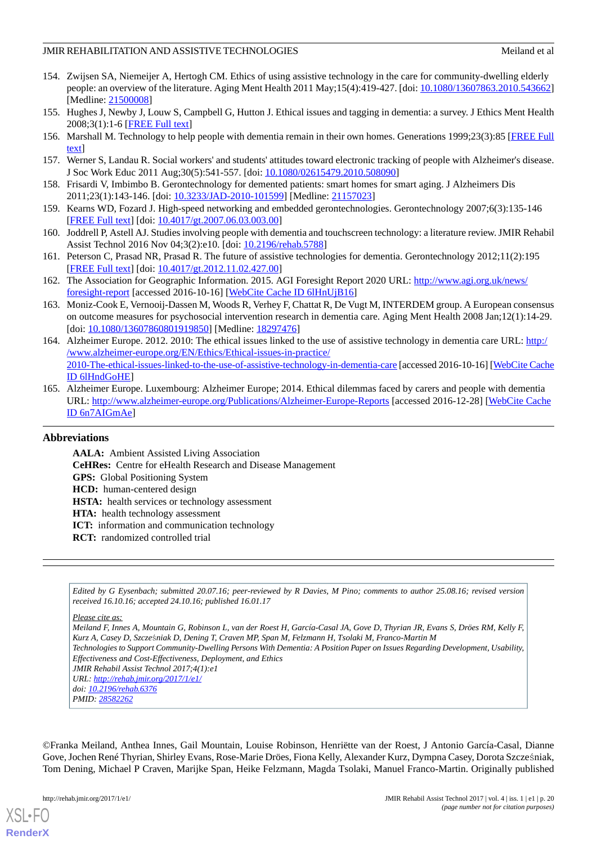- <span id="page-19-0"></span>154. Zwijsen SA, Niemeijer A, Hertogh CM. Ethics of using assistive technology in the care for community-dwelling elderly people: an overview of the literature. Aging Ment Health 2011 May;15(4):419-427. [doi: [10.1080/13607863.2010.543662](http://dx.doi.org/10.1080/13607863.2010.543662)] [Medline: [21500008](http://www.ncbi.nlm.nih.gov/entrez/query.fcgi?cmd=Retrieve&db=PubMed&list_uids=21500008&dopt=Abstract)]
- <span id="page-19-2"></span><span id="page-19-1"></span>155. Hughes J, Newby J, Louw S, Campbell G, Hutton J. Ethical issues and tagging in dementia: a survey. J Ethics Ment Health 2008;3(1):1-6 [[FREE Full text](http://eprint.ncl.ac.uk/file_store/production/38622/6E77A092-E301-414B-8F6B-B1C901E2A634.pdf)]
- <span id="page-19-3"></span>156. Marshall M. Technology to help people with dementia remain in their own homes. Generations 1999;23(3):85 [[FREE Full](http://connection.ebscohost.com/c/articles/2517954/technology-help-people-dementia-remain-their-own-homes) [text](http://connection.ebscohost.com/c/articles/2517954/technology-help-people-dementia-remain-their-own-homes)]
- <span id="page-19-4"></span>157. Werner S, Landau R. Social workers' and students' attitudes toward electronic tracking of people with Alzheimer's disease. J Soc Work Educ 2011 Aug;30(5):541-557. [doi: [10.1080/02615479.2010.508090\]](http://dx.doi.org/10.1080/02615479.2010.508090)
- <span id="page-19-5"></span>158. Frisardi V, Imbimbo B. Gerontechnology for demented patients: smart homes for smart aging. J Alzheimers Dis 2011;23(1):143-146. [doi: [10.3233/JAD-2010-101599](http://dx.doi.org/10.3233/JAD-2010-101599)] [Medline: [21157023\]](http://www.ncbi.nlm.nih.gov/entrez/query.fcgi?cmd=Retrieve&db=PubMed&list_uids=21157023&dopt=Abstract)
- <span id="page-19-6"></span>159. Kearns WD, Fozard J. High-speed networking and embedded gerontechnologies. Gerontechnology 2007;6(3):135-146 [[FREE Full text](http://gerontechnology.info/index.php/journal/article/view/702)] [doi: [10.4017/gt.2007.06.03.003.00](http://dx.doi.org/10.4017/gt.2007.06.03.003.00)]
- <span id="page-19-7"></span>160. Joddrell P, Astell AJ. Studies involving people with dementia and touchscreen technology: a literature review. JMIR Rehabil Assist Technol 2016 Nov 04;3(2):e10. [doi: [10.2196/rehab.5788\]](http://dx.doi.org/10.2196/rehab.5788)
- <span id="page-19-8"></span>161. Peterson C, Prasad NR, Prasad R. The future of assistive technologies for dementia. Gerontechnology 2012;11(2):195 [[FREE Full text](http://gerontechnology.info/index.php/journal/article/view/gt.2012.11.02.427.00)] [doi: [10.4017/gt.2012.11.02.427.00](http://dx.doi.org/10.4017/gt.2012.11.02.427.00)]
- <span id="page-19-9"></span>162. The Association for Geographic Information. 2015. AGI Foresight Report 2020 URL: [http://www.agi.org.uk/news/](http://www.agi.org.uk/news/foresight-report) [foresight-report](http://www.agi.org.uk/news/foresight-report) [accessed 2016-10-16] [\[WebCite Cache ID 6lHnUjB16\]](http://www.webcitation.org/

                                            6lHnUjB16)
- <span id="page-19-10"></span>163. Moniz-Cook E, Vernooij-Dassen M, Woods R, Verhey F, Chattat R, De Vugt M, INTERDEM group. A European consensus on outcome measures for psychosocial intervention research in dementia care. Aging Ment Health 2008 Jan;12(1):14-29. [doi: [10.1080/13607860801919850](http://dx.doi.org/10.1080/13607860801919850)] [Medline: [18297476\]](http://www.ncbi.nlm.nih.gov/entrez/query.fcgi?cmd=Retrieve&db=PubMed&list_uids=18297476&dopt=Abstract)
- <span id="page-19-11"></span>164. Alzheimer Europe. 2012. 2010: The ethical issues linked to the use of assistive technology in dementia care URL: [http:/](http://www.alzheimer-europe.org/EN/Ethics/Ethical-issues-in-practice/2010-The-ethical-issues-linked-to-the-use-of-assistive-technology-in-dementia-care) [/www.alzheimer-europe.org/EN/Ethics/Ethical-issues-in-practice/](http://www.alzheimer-europe.org/EN/Ethics/Ethical-issues-in-practice/2010-The-ethical-issues-linked-to-the-use-of-assistive-technology-in-dementia-care) [2010-The-ethical-issues-linked-to-the-use-of-assistive-technology-in-dementia-care](http://www.alzheimer-europe.org/EN/Ethics/Ethical-issues-in-practice/2010-The-ethical-issues-linked-to-the-use-of-assistive-technology-in-dementia-care) [accessed 2016-10-16] [\[WebCite Cache](http://www.webcitation.org/

                                            6lHndGoHE) [ID 6lHndGoHE](http://www.webcitation.org/

                                            6lHndGoHE)]
- 165. Alzheimer Europe. Luxembourg: Alzheimer Europe; 2014. Ethical dilemmas faced by carers and people with dementia URL: <http://www.alzheimer-europe.org/Publications/Alzheimer-Europe-Reports> [accessed 2016-12-28] [\[WebCite Cache](http://www.webcitation.org/

                                            6n7AIGmAe) [ID 6n7AIGmAe\]](http://www.webcitation.org/

                                            6n7AIGmAe)

# **Abbreviations**

**AALA:** Ambient Assisted Living Association **CeHRes:** Centre for eHealth Research and Disease Management **GPS:** Global Positioning System **HCD:** human-centered design **HSTA:** health services or technology assessment **HTA:** health technology assessment **ICT:** information and communication technology **RCT:** randomized controlled trial

*Edited by G Eysenbach; submitted 20.07.16; peer-reviewed by R Davies, M Pino; comments to author 25.08.16; revised version received 16.10.16; accepted 24.10.16; published 16.01.17*

#### *Please cite as:*

*Meiland F, Innes A, Mountain G, Robinson L, van der Roest H, García-Casal JA, Gove D, Thyrian JR, Evans S, Dröes RM, Kelly F, Kurz A, Casey D, Szcze*ś*niak D, Dening T, Craven MP, Span M, Felzmann H, Tsolaki M, Franco-Martin M Technologies to Support Community-Dwelling Persons With Dementia: A Position Paper on Issues Regarding Development, Usability, Effectiveness and Cost-Effectiveness, Deployment, and Ethics JMIR Rehabil Assist Technol 2017;4(1):e1 URL: <http://rehab.jmir.org/2017/1/e1/> doi: [10.2196/rehab.6376](http://dx.doi.org/10.2196/rehab.6376) PMID: [28582262](http://www.ncbi.nlm.nih.gov/entrez/query.fcgi?cmd=Retrieve&db=PubMed&list_uids=28582262&dopt=Abstract)*

©Franka Meiland, Anthea Innes, Gail Mountain, Louise Robinson, Henriëtte van der Roest, J Antonio García-Casal, Dianne Gove, Jochen René Thyrian, Shirley Evans, Rose-Marie Dröes, Fiona Kelly, Alexander Kurz, Dympna Casey, Dorota Szcześniak, Tom Dening, Michael P Craven, Marijke Span, Heike Felzmann, Magda Tsolaki, Manuel Franco-Martin. Originally published